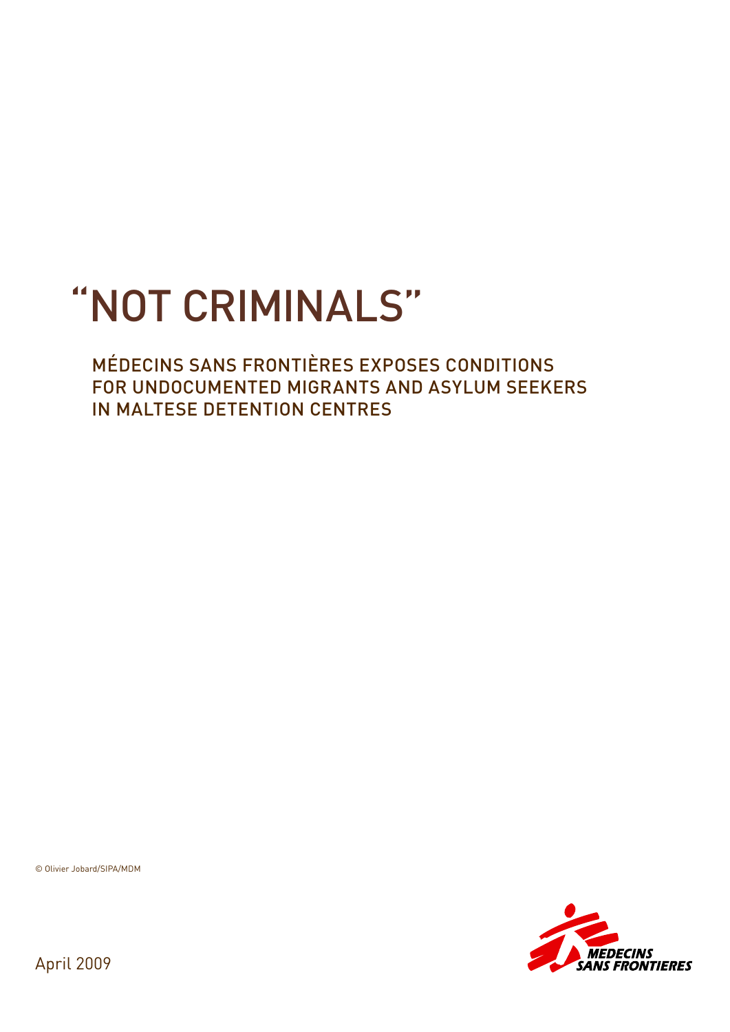# "NOT CRIMINALS"

# MÉDECINS SANS FRONTIÈRES EXPOSES CONDITIONS FOR UNDOCUMENTED MIGRANTS AND ASYLUM SEEKERS IN MALTESE DETENTION CENTRES

© Olivier Jobard/SIPA/MDM



April 2009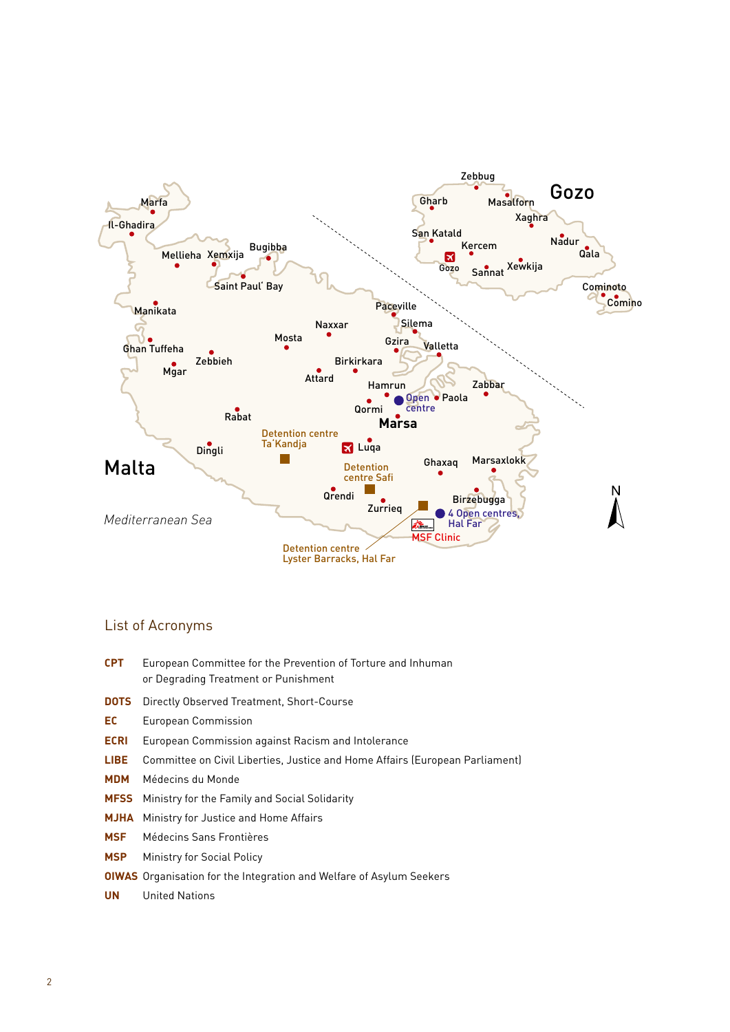

#### List of Acronyms

- **CPT** European Committee for the Prevention of Torture and Inhuman or Degrading Treatment or Punishment
- **DOTS** Directly Observed Treatment, Short-Course
- **EC** European Commission
- **ECRI** European Commission against Racism and Intolerance
- **LIBE** Committee on Civil Liberties, Justice and Home Affairs (European Parliament)
- **MDM** Médecins du Monde
- **MFSS** Ministry for the Family and Social Solidarity
- **MJHA** Ministry for Justice and Home Affairs
- **MSF** Médecins Sans Frontières
- **MSP** Ministry for Social Policy
- **OIWAS** Organisation for the Integration and Welfare of Asylum Seekers
- **UN** United Nations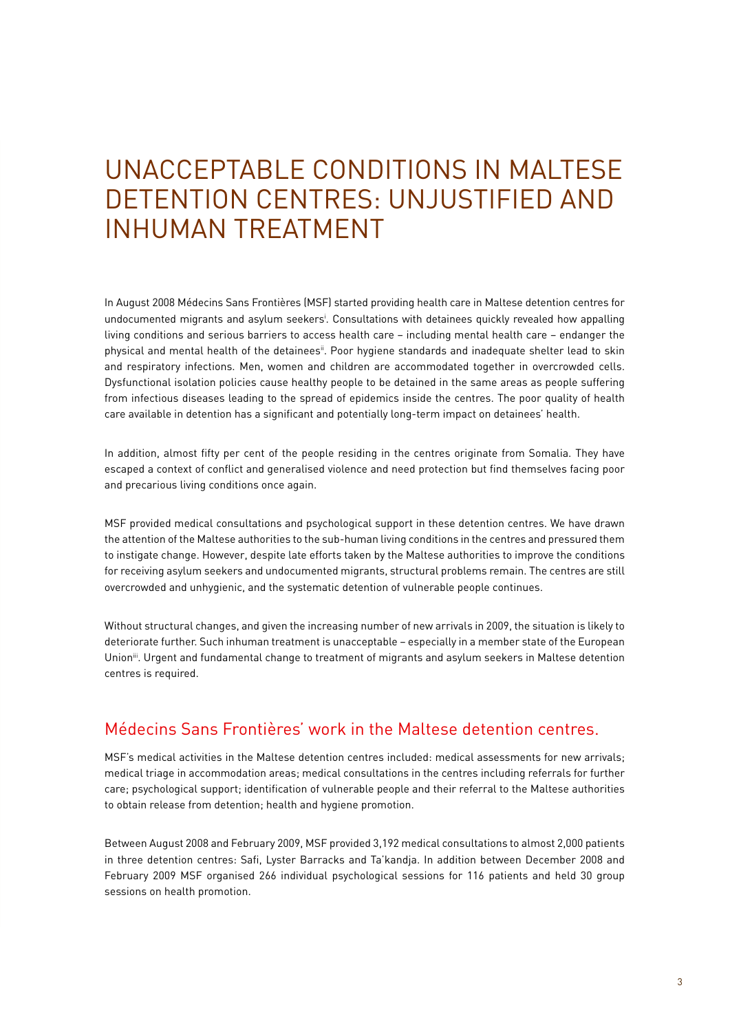# UNACCEPTABLE CONDITIONS IN MALTESE DETENTION CENTRES: UNJUSTIFIED AND INHUMAN TREATMENT

In August 2008 Médecins Sans Frontières (MSF) started providing health care in Maltese detention centres for undocumented migrants and asylum seekersi . Consultations with detainees quickly revealed how appalling living conditions and serious barriers to access health care – including mental health care – endanger the physical and mental health of the detainees<sup>ii</sup>. Poor hygiene standards and inadequate shelter lead to skin and respiratory infections. Men, women and children are accommodated together in overcrowded cells. Dysfunctional isolation policies cause healthy people to be detained in the same areas as people suffering from infectious diseases leading to the spread of epidemics inside the centres. The poor quality of health care available in detention has a significant and potentially long-term impact on detainees' health.

In addition, almost fifty per cent of the people residing in the centres originate from Somalia. They have escaped a context of conflict and generalised violence and need protection but find themselves facing poor and precarious living conditions once again.

MSF provided medical consultations and psychological support in these detention centres. We have drawn the attention of the Maltese authorities to the sub-human living conditions in the centres and pressured them to instigate change. However, despite late efforts taken by the Maltese authorities to improve the conditions for receiving asylum seekers and undocumented migrants, structural problems remain. The centres are still overcrowded and unhygienic, and the systematic detention of vulnerable people continues.

Without structural changes, and given the increasing number of new arrivals in 2009, the situation is likely to deteriorate further. Such inhuman treatment is unacceptable – especially in a member state of the European Union<sup>iii</sup>. Urgent and fundamental change to treatment of migrants and asylum seekers in Maltese detention centres is required.

# Médecins Sans Frontières' work in the Maltese detention centres.

MSF's medical activities in the Maltese detention centres included: medical assessments for new arrivals; medical triage in accommodation areas; medical consultations in the centres including referrals for further care; psychological support; identification of vulnerable people and their referral to the Maltese authorities to obtain release from detention; health and hygiene promotion.

Between August 2008 and February 2009, MSF provided 3,192 medical consultations to almost 2,000 patients in three detention centres: Safi, Lyster Barracks and Ta'kandja. In addition between December 2008 and February 2009 MSF organised 266 individual psychological sessions for 116 patients and held 30 group sessions on health promotion.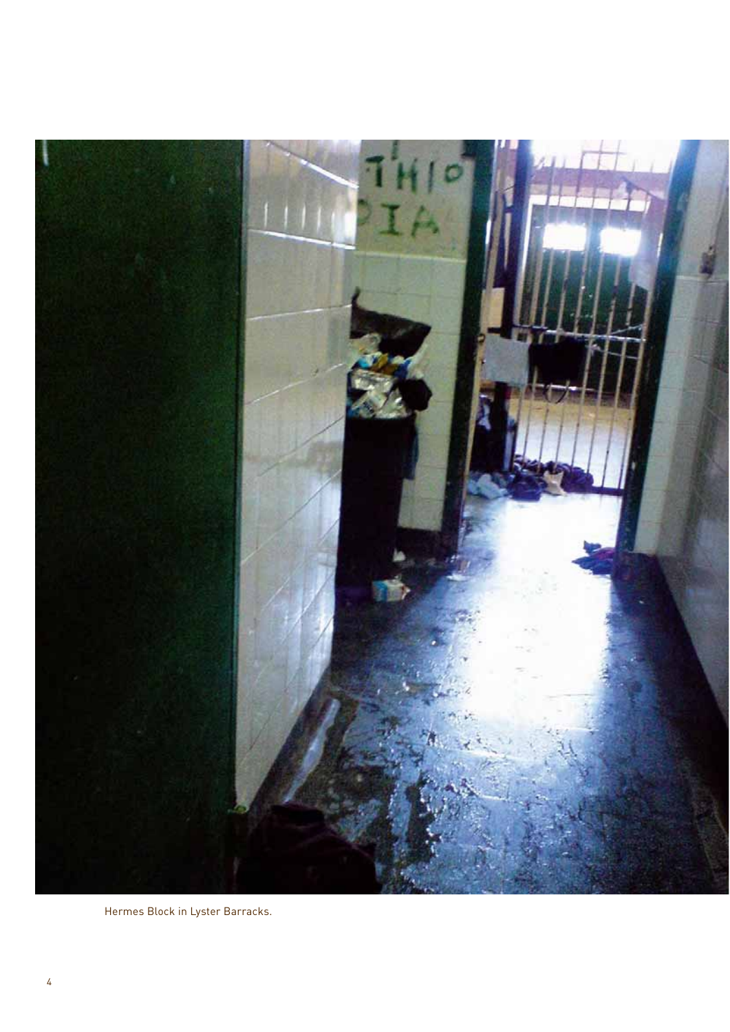

Hermes Block in Lyster Barracks.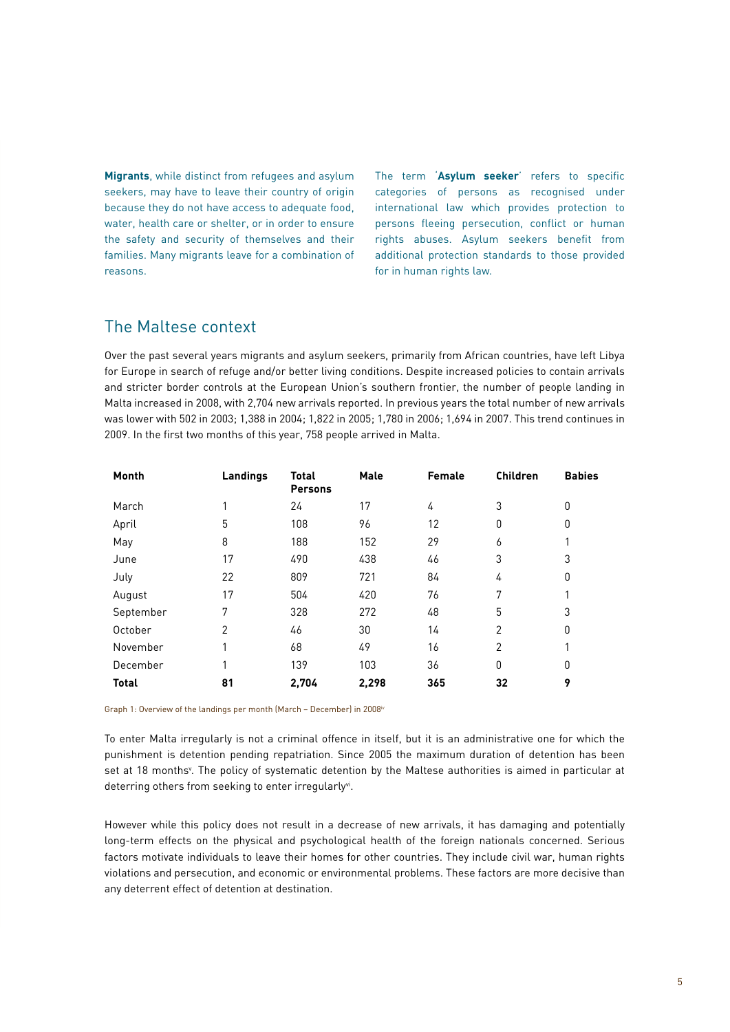**Migrants**, while distinct from refugees and asylum seekers, may have to leave their country of origin because they do not have access to adequate food, water, health care or shelter, or in order to ensure the safety and security of themselves and their families. Many migrants leave for a combination of reasons.

The term '**Asylum seeker**' refers to specific categories of persons as recognised under international law which provides protection to persons fleeing persecution, conflict or human rights abuses. Asylum seekers benefit from additional protection standards to those provided for in human rights law.

### The Maltese context

Over the past several years migrants and asylum seekers, primarily from African countries, have left Libya for Europe in search of refuge and/or better living conditions. Despite increased policies to contain arrivals and stricter border controls at the European Union's southern frontier, the number of people landing in Malta increased in 2008, with 2,704 new arrivals reported. In previous years the total number of new arrivals was lower with 502 in 2003; 1,388 in 2004; 1,822 in 2005; 1,780 in 2006; 1,694 in 2007. This trend continues in 2009. In the first two months of this year, 758 people arrived in Malta.

| Month        | Landings       | <b>Total</b><br><b>Persons</b> | <b>Male</b> | <b>Female</b> | <b>Children</b> | <b>Babies</b> |
|--------------|----------------|--------------------------------|-------------|---------------|-----------------|---------------|
| March        |                | 24                             | 17          | 4             | 3               | 0             |
| April        | 5              | 108                            | 96          | 12            | 0               | 0             |
| May          | 8              | 188                            | 152         | 29            | 6               | 1             |
| June         | 17             | 490                            | 438         | 46            | 3               | 3             |
| July         | 22             | 809                            | 721         | 84            | 4               | 0             |
| August       | 17             | 504                            | 420         | 76            | 7               | 1             |
| September    | 7              | 328                            | 272         | 48            | 5               | 3             |
| October      | $\overline{2}$ | 46                             | 30          | 14            | $\overline{2}$  | 0             |
| November     |                | 68                             | 49          | 16            | $\overline{2}$  | 1             |
| December     |                | 139                            | 103         | 36            | 0               | 0             |
| <b>Total</b> | 81             | 2,704                          | 2,298       | 365           | 32              | 9             |

Graph 1: Overview of the landings per month (March – December) in 2008iv

To enter Malta irregularly is not a criminal offence in itself, but it is an administrative one for which the punishment is detention pending repatriation. Since 2005 the maximum duration of detention has been set at 18 months<sup>v</sup>. The policy of systematic detention by the Maltese authorities is aimed in particular at deterring others from seeking to enter irregularly<sup>vi</sup>.

However while this policy does not result in a decrease of new arrivals, it has damaging and potentially long-term effects on the physical and psychological health of the foreign nationals concerned. Serious factors motivate individuals to leave their homes for other countries. They include civil war, human rights violations and persecution, and economic or environmental problems. These factors are more decisive than any deterrent effect of detention at destination.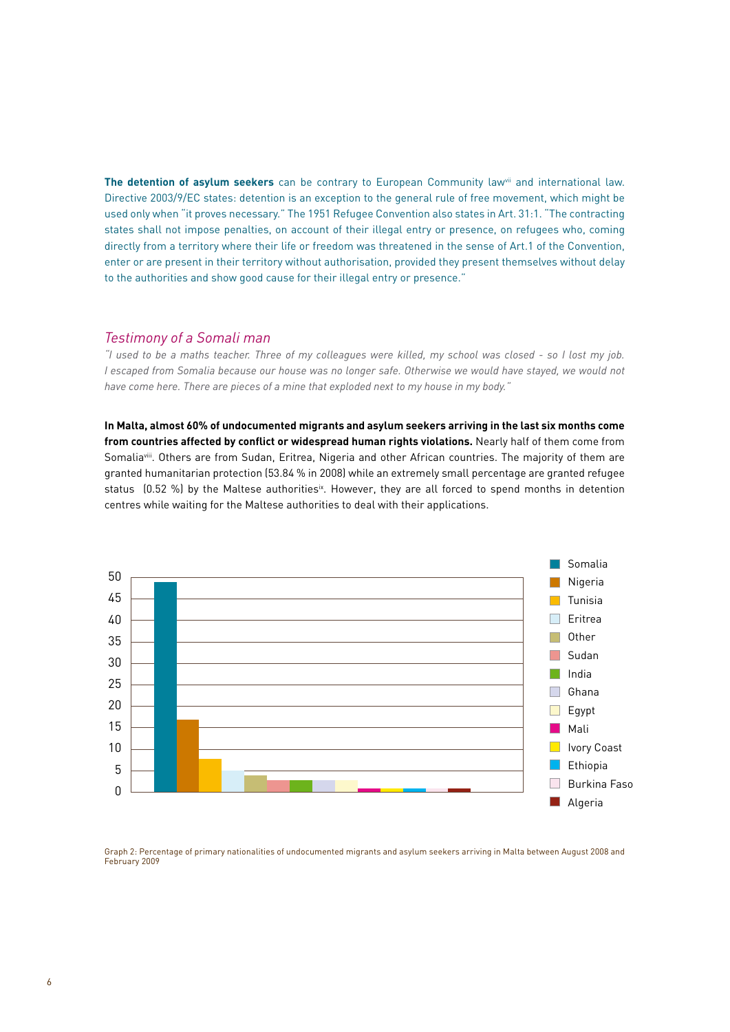**The detention of asylum seekers** can be contrary to European Community lawvii and international law. Directive 2003/9/EC states: detention is an exception to the general rule of free movement, which might be used only when "it proves necessary." The 1951 Refugee Convention also states in Art. 31:1. "The contracting states shall not impose penalties, on account of their illegal entry or presence, on refugees who, coming directly from a territory where their life or freedom was threatened in the sense of Art.1 of the Convention, enter or are present in their territory without authorisation, provided they present themselves without delay to the authorities and show good cause for their illegal entry or presence."

#### *Testimony of a Somali man*

*"I used to be a maths teacher. Three of my colleagues were killed, my school was closed - so I lost my job. I escaped from Somalia because our house was no longer safe. Otherwise we would have stayed, we would not have come here. There are pieces of a mine that exploded next to my house in my body."* 

**In Malta, almost 60% of undocumented migrants and asylum seekers arriving in the last six months come from countries affected by conflict or widespread human rights violations.** Nearly half of them come from Somaliaviii. Others are from Sudan, Eritrea, Nigeria and other African countries. The majority of them are granted humanitarian protection (53.84 % in 2008) while an extremely small percentage are granted refugee status (0.52 %) by the Maltese authorities<sup>ix</sup>. However, they are all forced to spend months in detention centres while waiting for the Maltese authorities to deal with their applications.



Graph 2: Percentage of primary nationalities of undocumented migrants and asylum seekers arriving in Malta between August 2008 and February 2009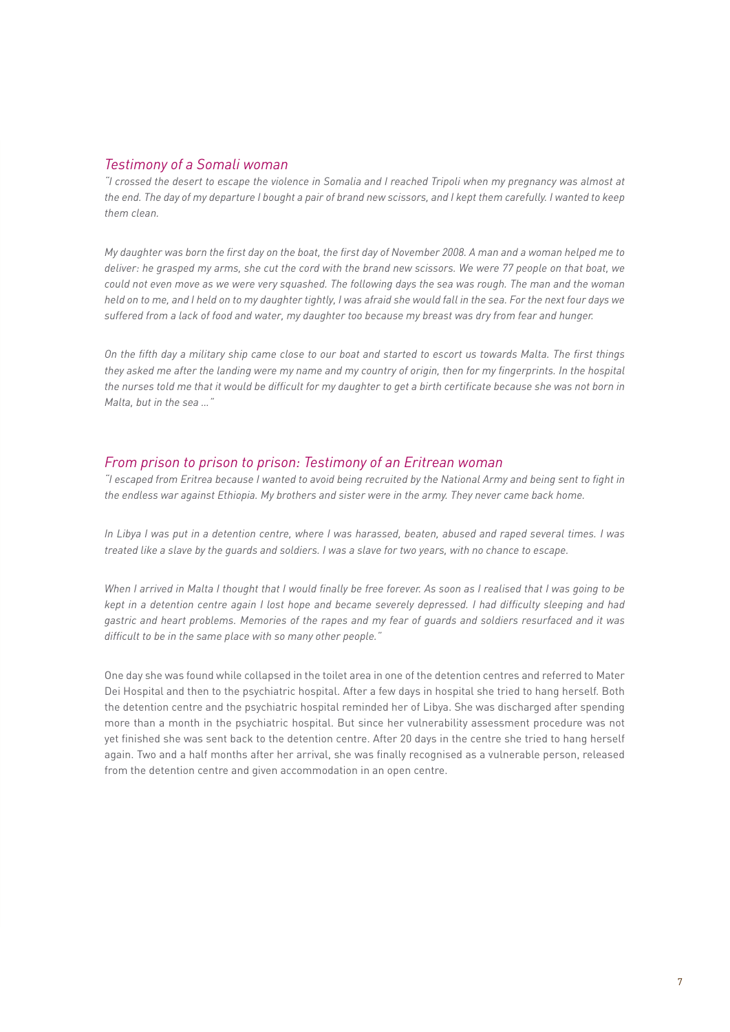#### *Testimony of a Somali woman*

*"I crossed the desert to escape the violence in Somalia and I reached Tripoli when my pregnancy was almost at*  the end. The day of my departure I bought a pair of brand new scissors, and I kept them carefully. I wanted to keep *them clean.* 

*My daughter was born the first day on the boat, the first day of November 2008. A man and a woman helped me to deliver: he grasped my arms, she cut the cord with the brand new scissors. We were 77 people on that boat, we could not even move as we were very squashed. The following days the sea was rough. The man and the woman held on to me, and I held on to my daughter tightly, I was afraid she would fall in the sea. For the next four days we suffered from a lack of food and water, my daughter too because my breast was dry from fear and hunger.* 

*On the fifth day a military ship came close to our boat and started to escort us towards Malta. The first things*  they asked me after the landing were my name and my country of origin, then for my fingerprints. In the hospital *the nurses told me that it would be difficult for my daughter to get a birth certificate because she was not born in Malta, but in the sea …"*

#### *From prison to prison to prison: Testimony of an Eritrean woman*

*"I escaped from Eritrea because I wanted to avoid being recruited by the National Army and being sent to fight in the endless war against Ethiopia. My brothers and sister were in the army. They never came back home.* 

*In Libya I was put in a detention centre, where I was harassed, beaten, abused and raped several times. I was treated like a slave by the guards and soldiers. I was a slave for two years, with no chance to escape.*

*When I arrived in Malta I thought that I would finally be free forever. As soon as I realised that I was going to be kept in a detention centre again I lost hope and became severely depressed. I had difficulty sleeping and had gastric and heart problems. Memories of the rapes and my fear of guards and soldiers resurfaced and it was difficult to be in the same place with so many other people."*

One day she was found while collapsed in the toilet area in one of the detention centres and referred to Mater Dei Hospital and then to the psychiatric hospital. After a few days in hospital she tried to hang herself. Both the detention centre and the psychiatric hospital reminded her of Libya. She was discharged after spending more than a month in the psychiatric hospital. But since her vulnerability assessment procedure was not yet finished she was sent back to the detention centre. After 20 days in the centre she tried to hang herself again. Two and a half months after her arrival, she was finally recognised as a vulnerable person, released from the detention centre and given accommodation in an open centre.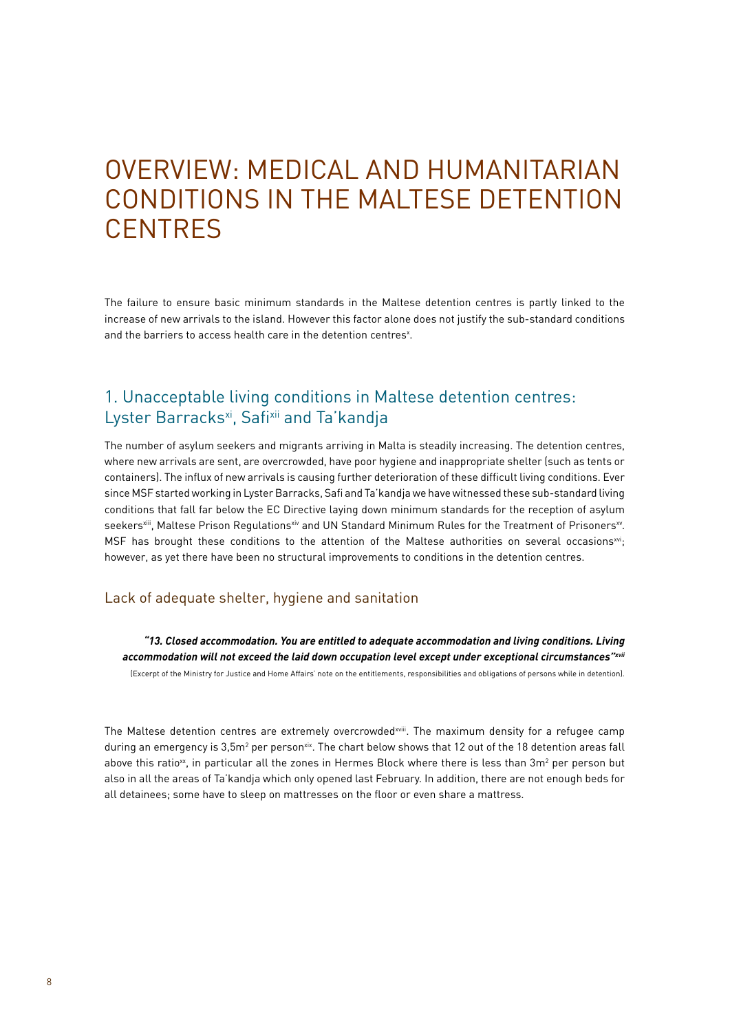# OVERVIEW: MEDICAL AND HUMANITARIAN CONDITIONS IN THE MALTESE DETENTION **CENTRES**

The failure to ensure basic minimum standards in the Maltese detention centres is partly linked to the increase of new arrivals to the island. However this factor alone does not justify the sub-standard conditions and the barriers to access health care in the detention centres<sup>x</sup>.

# 1. Unacceptable living conditions in Maltese detention centres: Lyster Barracks<sup>xi</sup>, Safixii and Ta'kandja

The number of asylum seekers and migrants arriving in Malta is steadily increasing. The detention centres, where new arrivals are sent, are overcrowded, have poor hygiene and inappropriate shelter (such as tents or containers). The influx of new arrivals is causing further deterioration of these difficult living conditions. Ever since MSF started working in Lyster Barracks, Safi and Ta'kandja we have witnessed these sub-standard living conditions that fall far below the EC Directive laying down minimum standards for the reception of asylum seekers<sup>xiii</sup>, Maltese Prison Regulationsxiv and UN Standard Minimum Rules for the Treatment of Prisoners<sup>xv</sup>. MSF has brought these conditions to the attention of the Maltese authorities on several occasionsxvi; however, as yet there have been no structural improvements to conditions in the detention centres.

#### Lack of adequate shelter, hygiene and sanitation

*"13. Closed accommodation. You are entitled to adequate accommodation and living conditions. Living accommodation will not exceed the laid down occupation level except under exceptional circumstances"xvii*

(Excerpt of the Ministry for Justice and Home Affairs' note on the entitlements, responsibilities and obligations of persons while in detention).

The Maltese detention centres are extremely overcrowded<sup>xviii</sup>. The maximum density for a refugee camp during an emergency is 3,5m² per person¤¤. The chart below shows that 12 out of the 18 detention areas fall above this ratio $^{\rm{xx}}$ , in particular all the zones in Hermes Block where there is less than 3m $^{\rm{2}}$  per person but also in all the areas of Ta'kandja which only opened last February. In addition, there are not enough beds for all detainees; some have to sleep on mattresses on the floor or even share a mattress.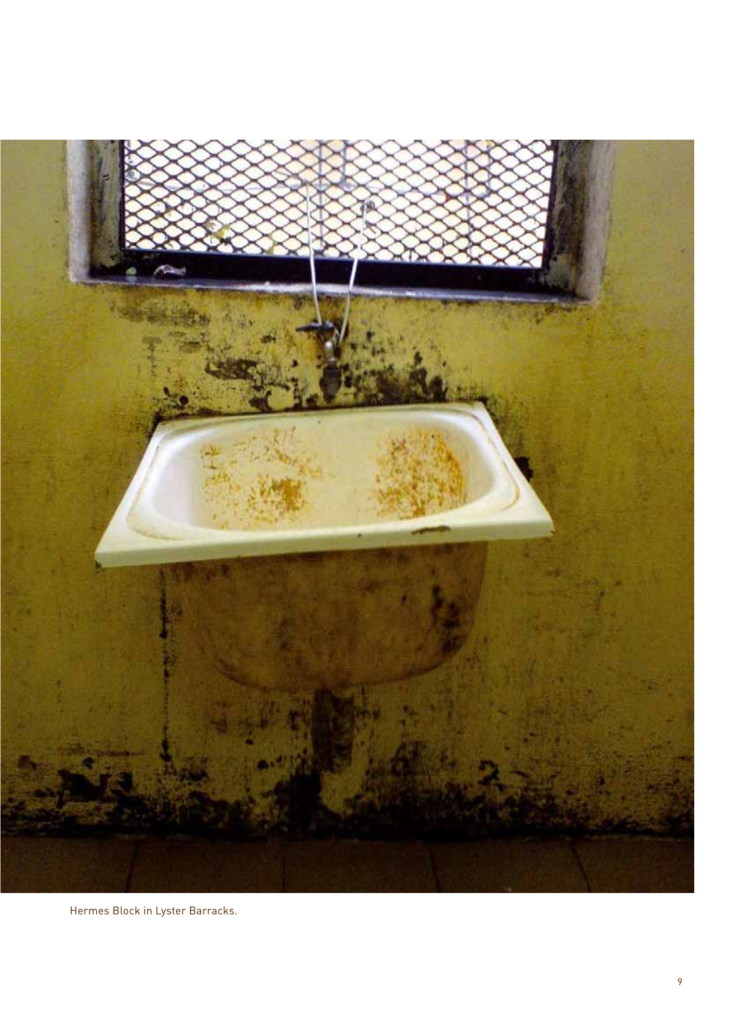

Hermes Block in Lyster Barracks.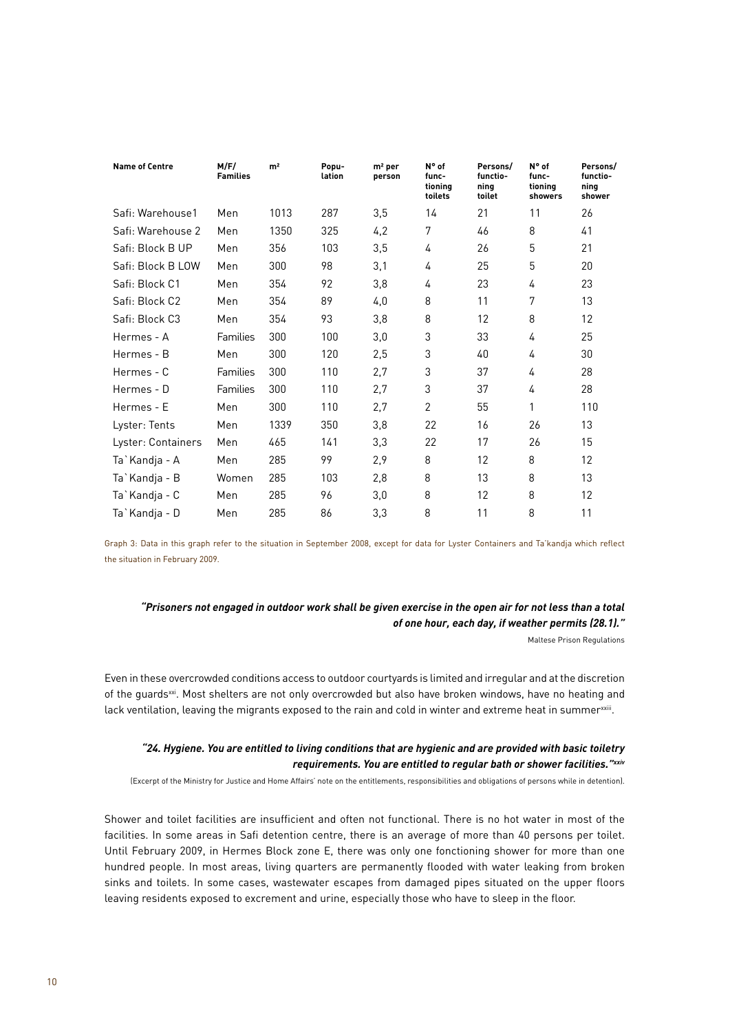| <b>Name of Centre</b> | M/F/<br><b>Families</b> | m <sup>2</sup> | Popu-<br>lation | $m2$ per<br>person | N° of<br>func-<br>tioning<br>toilets | Persons/<br>functio-<br>ning<br>toilet | N° of<br>func-<br>tioning<br>showers | Persons/<br>functio-<br>ning<br>shower |
|-----------------------|-------------------------|----------------|-----------------|--------------------|--------------------------------------|----------------------------------------|--------------------------------------|----------------------------------------|
| Safi: Warehouse1      | Men                     | 1013           | 287             | 3,5                | 14                                   | 21                                     | 11                                   | 26                                     |
| Safi: Warehouse 2     | Men                     | 1350           | 325             | 4,2                | 7                                    | 46                                     | 8                                    | 41                                     |
| Safi: Block B UP      | Men                     | 356            | 103             | 3,5                | 4                                    | 26                                     | 5                                    | 21                                     |
| Safi: Block B LOW     | Men                     | 300            | 98              | 3,1                | 4                                    | 25                                     | 5                                    | 20                                     |
| Safi: Block C1        | Men                     | 354            | 92              | 3,8                | 4                                    | 23                                     | 4                                    | 23                                     |
| Safi: Block C2        | Men                     | 354            | 89              | 4,0                | 8                                    | 11                                     | 7                                    | 13                                     |
| Safi: Block C3        | Men                     | 354            | 93              | 3,8                | 8                                    | 12                                     | 8                                    | 12                                     |
| Hermes - A            | Families                | 300            | 100             | 3,0                | 3                                    | 33                                     | 4                                    | 25                                     |
| Hermes - B            | Men                     | 300            | 120             | 2,5                | 3                                    | 40                                     | 4                                    | 30                                     |
| Hermes - C            | Families                | 300            | 110             | 2,7                | 3                                    | 37                                     | 4                                    | 28                                     |
| Hermes - D            | Families                | 300            | 110             | 2,7                | 3                                    | 37                                     | 4                                    | 28                                     |
| Hermes - E            | Men                     | 300            | 110             | 2,7                | $\overline{2}$                       | 55                                     | 1                                    | 110                                    |
| Lyster: Tents         | Men                     | 1339           | 350             | 3,8                | 22                                   | 16                                     | 26                                   | 13                                     |
| Lyster: Containers    | Men                     | 465            | 141             | 3,3                | 22                                   | 17                                     | 26                                   | 15                                     |
| Ta`Kandja - A         | Men                     | 285            | 99              | 2,9                | 8                                    | 12                                     | 8                                    | 12                                     |
| Ta`Kandja - B         | Women                   | 285            | 103             | 2,8                | 8                                    | 13                                     | 8                                    | 13                                     |
| Ta`Kandja - C         | Men                     | 285            | 96              | 3,0                | 8                                    | 12                                     | 8                                    | 12                                     |
| Ta`Kandja - D         | Men                     | 285            | 86              | 3,3                | 8                                    | 11                                     | 8                                    | 11                                     |

Graph 3: Data in this graph refer to the situation in September 2008, except for data for Lyster Containers and Ta'kandja which reflect the situation in February 2009.

#### *"Prisoners not engaged in outdoor work shall be given exercise in the open air for not less than a total of one hour, each day, if weather permits (28.1)."*

Maltese Prison Regulations

Even in these overcrowded conditions access to outdoor courtyards is limited and irregular and at the discretion of the guardsxxi. Most shelters are not only overcrowded but also have broken windows, have no heating and lack ventilation, leaving the migrants exposed to the rain and cold in winter and extreme heat in summerxxiii.

#### *"24. Hygiene. You are entitled to living conditions that are hygienic and are provided with basic toiletry requirements. You are entitled to regular bath or shower facilities."xxiv*

(Excerpt of the Ministry for Justice and Home Affairs' note on the entitlements, responsibilities and obligations of persons while in detention).

Shower and toilet facilities are insufficient and often not functional. There is no hot water in most of the facilities. In some areas in Safi detention centre, there is an average of more than 40 persons per toilet. Until February 2009, in Hermes Block zone E, there was only one fonctioning shower for more than one hundred people. In most areas, living quarters are permanently flooded with water leaking from broken sinks and toilets. In some cases, wastewater escapes from damaged pipes situated on the upper floors leaving residents exposed to excrement and urine, especially those who have to sleep in the floor.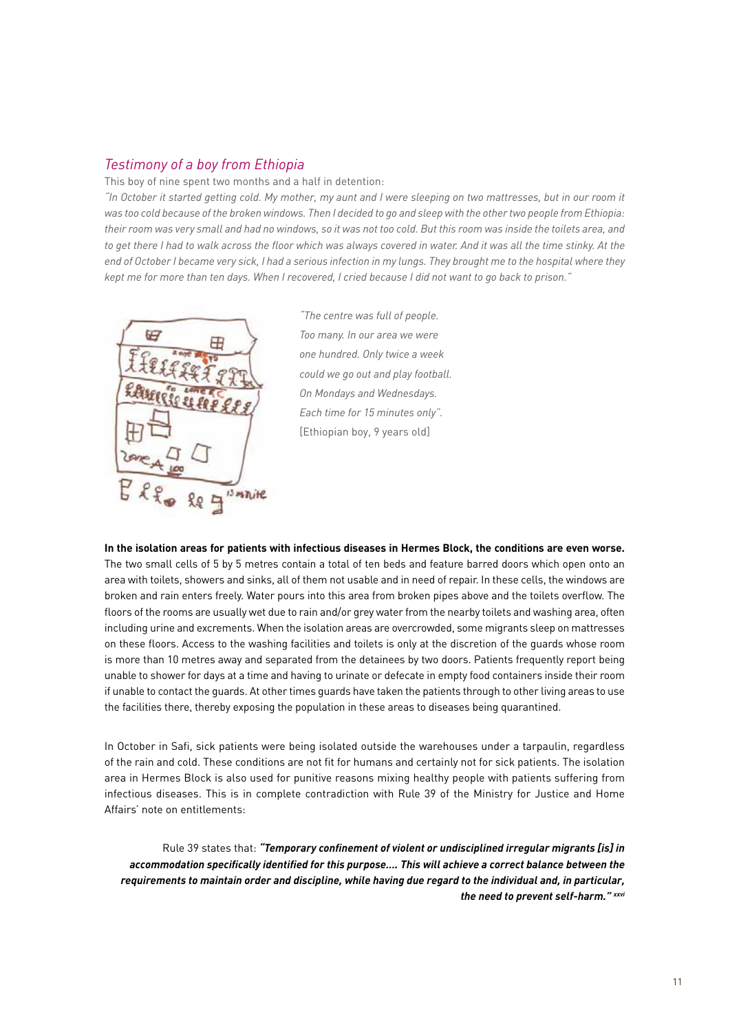#### *Testimony of a boy from Ethiopia*

This boy of nine spent two months and a half in detention:

*"In October it started getting cold. My mother, my aunt and I were sleeping on two mattresses, but in our room it was too cold because of the broken windows. Then I decided to go and sleep with the other two people from Ethiopia: their room was very small and had no windows, so it was not too cold. But this room was inside the toilets area, and*  to get there I had to walk across the floor which was always covered in water. And it was all the time stinky. At the end of October I became very sick, I had a serious infection in my lungs. They brought me to the hospital where they *kept me for more than ten days. When I recovered, I cried because I did not want to go back to prison."* 



*"The centre was full of people. Too many. In our area we were one hundred. Only twice a week could we go out and play football. On Mondays and Wednesdays. Each time for 15 minutes only".* [Ethiopian boy, 9 years old]

**In the isolation areas for patients with infectious diseases in Hermes Block, the conditions are even worse.**  The two small cells of 5 by 5 metres contain a total of ten beds and feature barred doors which open onto an area with toilets, showers and sinks, all of them not usable and in need of repair. In these cells, the windows are broken and rain enters freely. Water pours into this area from broken pipes above and the toilets overflow. The floors of the rooms are usually wet due to rain and/or grey water from the nearby toilets and washing area, often including urine and excrements. When the isolation areas are overcrowded, some migrants sleep on mattresses on these floors. Access to the washing facilities and toilets is only at the discretion of the guards whose room is more than 10 metres away and separated from the detainees by two doors. Patients frequently report being unable to shower for days at a time and having to urinate or defecate in empty food containers inside their room if unable to contact the guards. At other times guards have taken the patients through to other living areas to use the facilities there, thereby exposing the population in these areas to diseases being quarantined.

In October in Safi, sick patients were being isolated outside the warehouses under a tarpaulin, regardless of the rain and cold. These conditions are not fit for humans and certainly not for sick patients. The isolation area in Hermes Block is also used for punitive reasons mixing healthy people with patients suffering from infectious diseases. This is in complete contradiction with Rule 39 of the Ministry for Justice and Home Affairs' note on entitlements:

Rule 39 states that: *"Temporary confinement of violent or undisciplined irregular migrants [is] in accommodation specifically identified for this purpose…. This will achieve a correct balance between the requirements to maintain order and discipline, while having due regard to the individual and, in particular, the need to prevent self-harm." xxvi*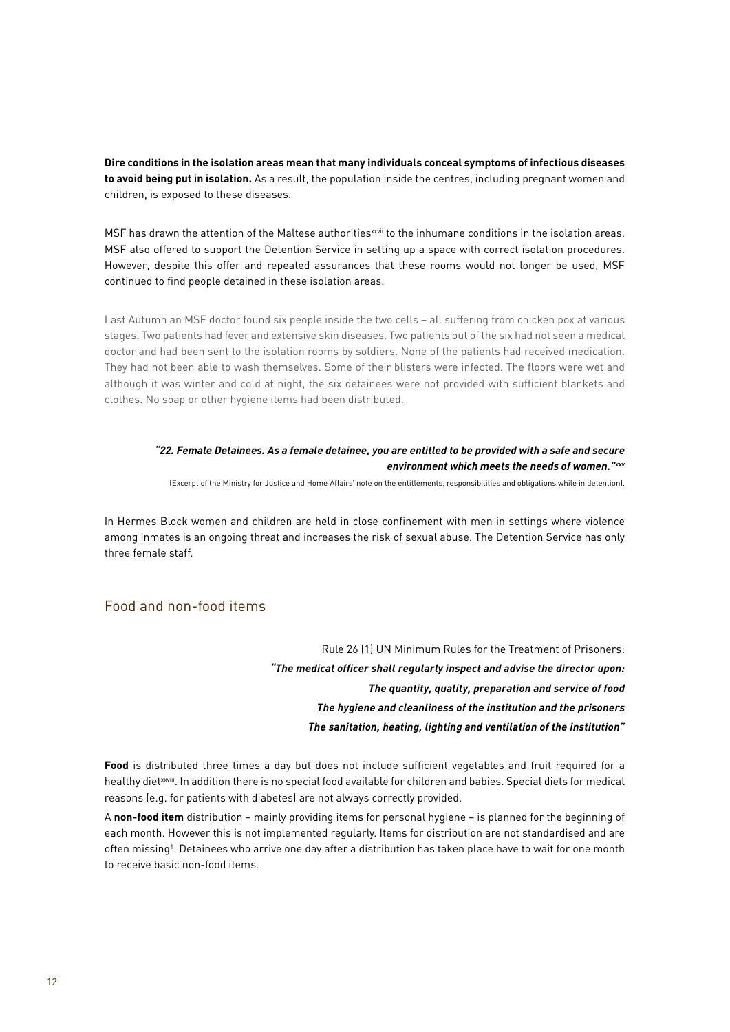**Dire conditions in the isolation areas mean that many individuals conceal symptoms of infectious diseases to avoid being put in isolation.** As a result, the population inside the centres, including pregnant women and children, is exposed to these diseases.

MSF has drawn the attention of the Maltese authorities<sup>xxvii</sup> to the inhumane conditions in the isolation areas. MSF also offered to support the Detention Service in setting up a space with correct isolation procedures. However, despite this offer and repeated assurances that these rooms would not longer be used, MSF continued to find people detained in these isolation areas.

Last Autumn an MSF doctor found six people inside the two cells – all suffering from chicken pox at various stages. Two patients had fever and extensive skin diseases. Two patients out of the six had not seen a medical doctor and had been sent to the isolation rooms by soldiers. None of the patients had received medication. They had not been able to wash themselves. Some of their blisters were infected. The floors were wet and although it was winter and cold at night, the six detainees were not provided with sufficient blankets and clothes. No soap or other hygiene items had been distributed.

#### *"22. Female Detainees. As a female detainee, you are entitled to be provided with a safe and secure environment which meets the needs of women."xxv*

(Excerpt of the Ministry for Justice and Home Affairs' note on the entitlements, responsibilities and obligations while in detention).

In Hermes Block women and children are held in close confinement with men in settings where violence among inmates is an ongoing threat and increases the risk of sexual abuse. The Detention Service has only three female staff.

#### Food and non-food items

Rule 26 (1) UN Minimum Rules for the Treatment of Prisoners: *"The medical officer shall regularly inspect and advise the director upon: The quantity, quality, preparation and service of food The hygiene and cleanliness of the institution and the prisoners The sanitation, heating, lighting and ventilation of the institution"*

**Food** is distributed three times a day but does not include sufficient vegetables and fruit required for a healthy dietxxviii. In addition there is no special food available for children and babies. Special diets for medical reasons (e.g. for patients with diabetes) are not always correctly provided.

A **non-food item** distribution – mainly providing items for personal hygiene – is planned for the beginning of each month. However this is not implemented regularly. Items for distribution are not standardised and are often missing<sup>1</sup>. Detainees who arrive one day after a distribution has taken place have to wait for one month to receive basic non-food items.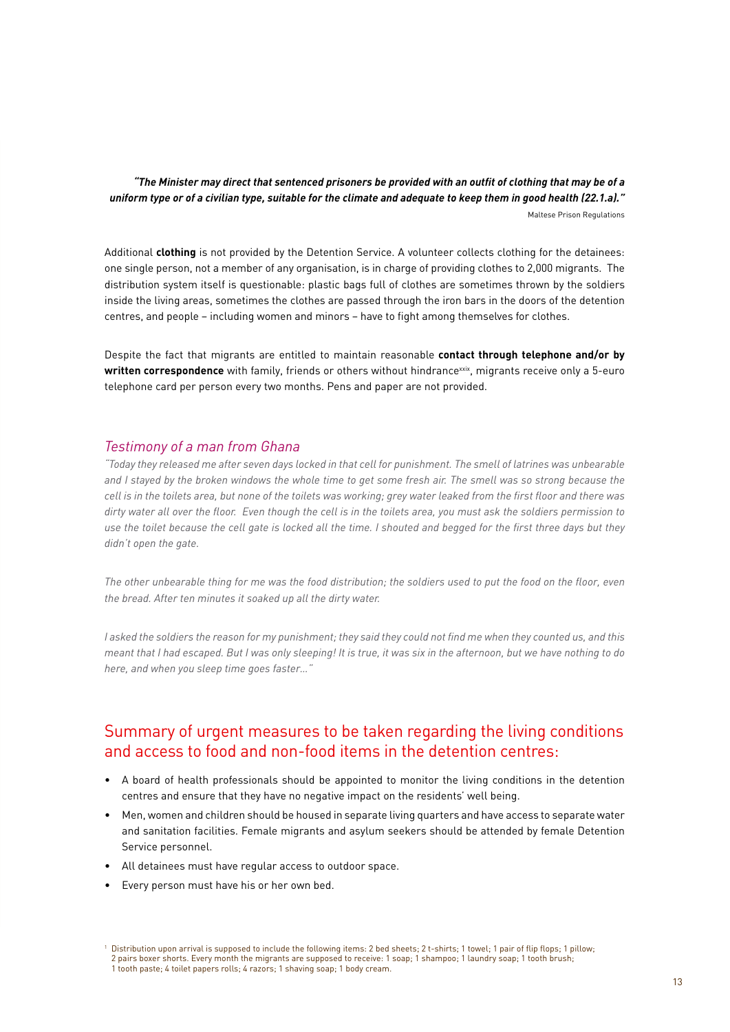*"The Minister may direct that sentenced prisoners be provided with an outfit of clothing that may be of a uniform type or of a civilian type, suitable for the climate and adequate to keep them in good health (22.1.a)."*  Maltese Prison Regulations

Additional **clothing** is not provided by the Detention Service. A volunteer collects clothing for the detainees: one single person, not a member of any organisation, is in charge of providing clothes to 2,000 migrants. The distribution system itself is questionable: plastic bags full of clothes are sometimes thrown by the soldiers inside the living areas, sometimes the clothes are passed through the iron bars in the doors of the detention centres, and people – including women and minors – have to fight among themselves for clothes.

Despite the fact that migrants are entitled to maintain reasonable **contact through telephone and/or by**  written correspondence with family, friends or others without hindrance<sup>xxix</sup>, migrants receive only a 5-euro telephone card per person every two months. Pens and paper are not provided.

#### *Testimony of a man from Ghana*

*"Today they released me after seven days locked in that cell for punishment. The smell of latrines was unbearable and I stayed by the broken windows the whole time to get some fresh air. The smell was so strong because the cell is in the toilets area, but none of the toilets was working; grey water leaked from the first floor and there was dirty water all over the floor. Even though the cell is in the toilets area, you must ask the soldiers permission to use the toilet because the cell gate is locked all the time. I shouted and begged for the first three days but they didn't open the gate.* 

*The other unbearable thing for me was the food distribution; the soldiers used to put the food on the floor, even the bread. After ten minutes it soaked up all the dirty water.*

*I asked the soldiers the reason for my punishment; they said they could not find me when they counted us, and this meant that I had escaped. But I was only sleeping! It is true, it was six in the afternoon, but we have nothing to do here, and when you sleep time goes faster…"*

# Summary of urgent measures to be taken regarding the living conditions and access to food and non-food items in the detention centres:

- A board of health professionals should be appointed to monitor the living conditions in the detention centres and ensure that they have no negative impact on the residents' well being.
- Men, women and children should be housed in separate living quarters and have access to separate water and sanitation facilities. Female migrants and asylum seekers should be attended by female Detention Service personnel.
- All detainees must have regular access to outdoor space.
- Every person must have his or her own bed.

<sup>&</sup>lt;sup>1</sup> Distribution upon arrival is supposed to include the following items: 2 bed sheets; 2 t-shirts; 1 towel; 1 pair of flip flops; 1 pillow; 2 pairs boxer shorts. Every month the migrants are supposed to receive: 1 soap; 1 shampoo; 1 laundry soap; 1 tooth brush;<br>1 tooth paste; 4 toilet papers rolls; 4 razors; 1 shaving soap; 1 body cream.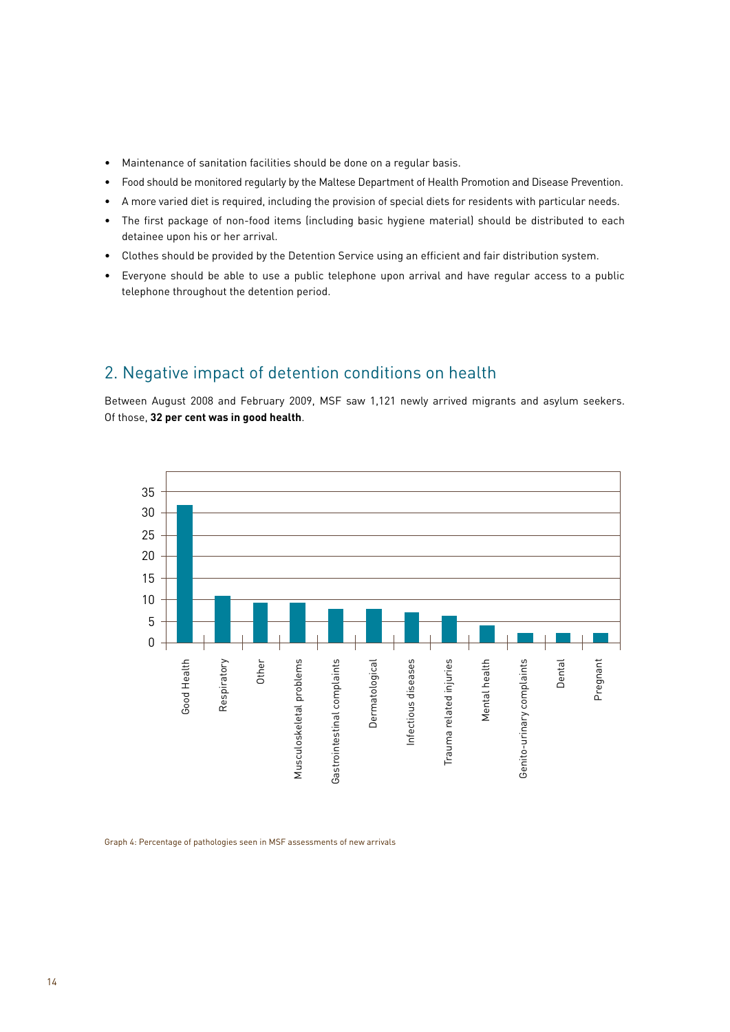- $\bullet$  Maintenance of sanitation facilities should be done on a regular basis.
- Food should be monitored regularly by the Maltese Department of Health Promotion and Disease Prevention.
- A more varied diet is required, including the provision of special diets for residents with particular needs.
- The first package of non-food items (including basic hygiene material) should be distributed to each detainee upon his or her arrival.
- Clothes should be provided by the Detention Service using an efficient and fair distribution system.
- Everyone should be able to use a public telephone upon arrival and have regular access to a public telephone throughout the detention period.

# 2. Negative impact of detention conditions on health

Between August 2008 and February 2009, MSF saw 1,121 newly arrived migrants and asylum seekers. Of those, **32 per cent was in good health**.



Graph 4: Percentage of pathologies seen in MSF assessments of new arrivals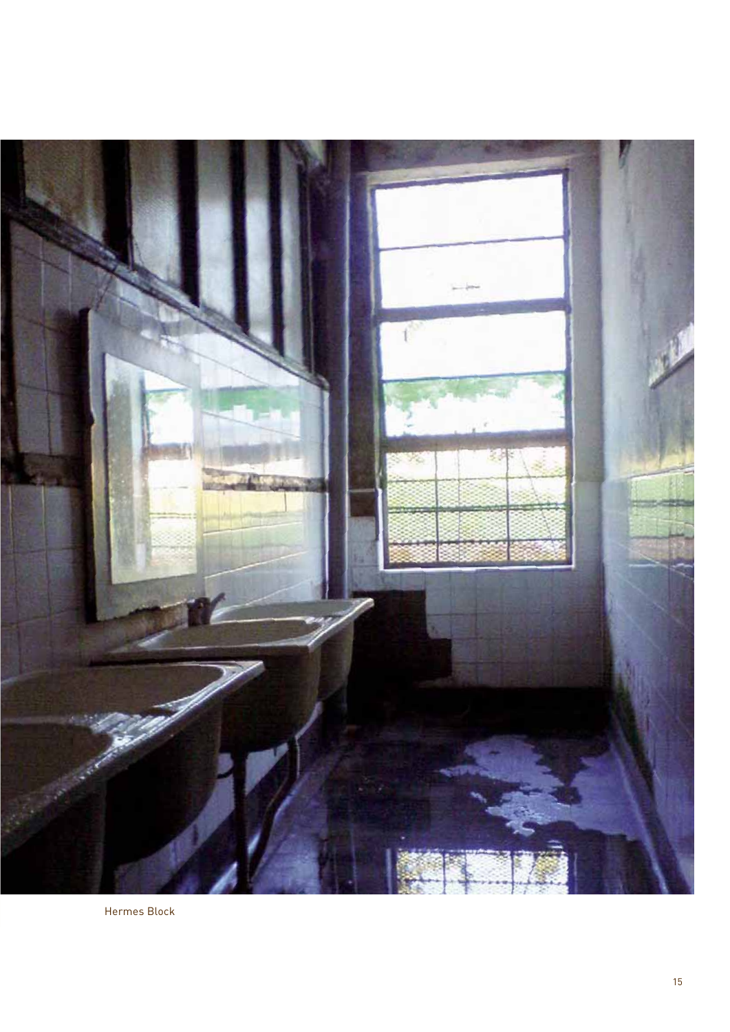

Hermes Block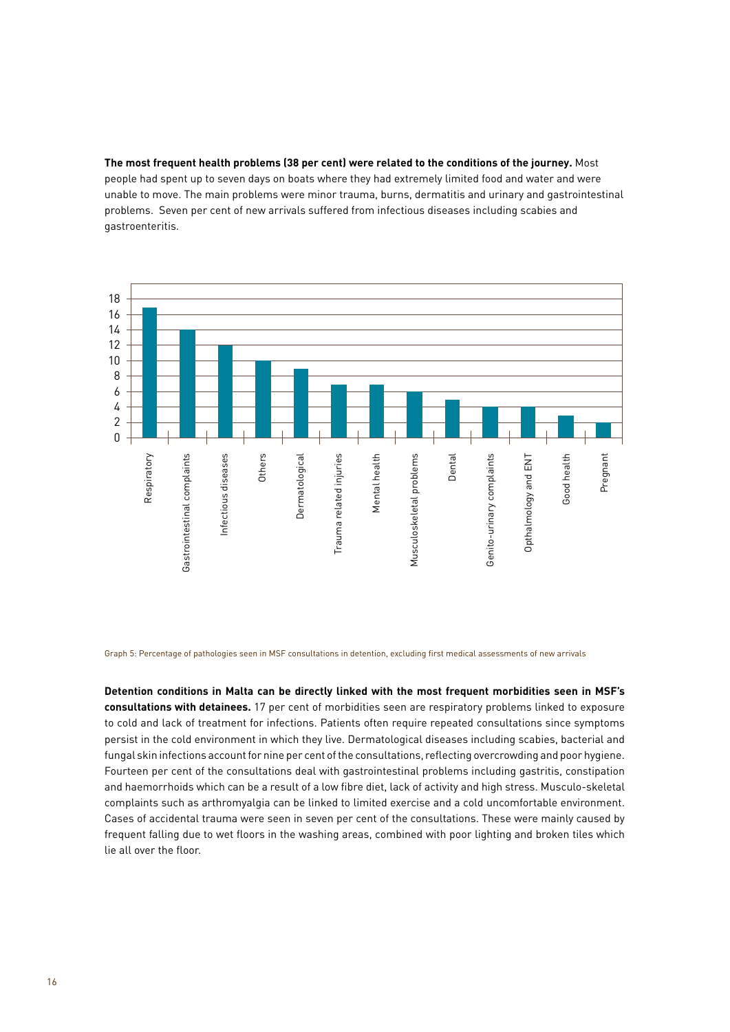**The most frequent health problems (38 per cent) were related to the conditions of the journey.** Most people had spent up to seven days on boats where they had extremely limited food and water and were unable to move. The main problems were minor trauma, burns, dermatitis and urinary and gastrointestinal problems. Seven per cent of new arrivals suffered from infectious diseases including scabies and gastroenteritis.



Graph 5: Percentage of pathologies seen in MSF consultations in detention, excluding first medical assessments of new arrivals

**Detention conditions in Malta can be directly linked with the most frequent morbidities seen in MSF's consultations with detainees.** 17 per cent of morbidities seen are respiratory problems linked to exposure to cold and lack of treatment for infections. Patients often require repeated consultations since symptoms persist in the cold environment in which they live. Dermatological diseases including scabies, bacterial and fungal skin infections account for nine per cent of the consultations, reflecting overcrowding and poor hygiene. Fourteen per cent of the consultations deal with gastrointestinal problems including gastritis, constipation and haemorrhoids which can be a result of a low fibre diet, lack of activity and high stress. Musculo-skeletal complaints such as arthromyalgia can be linked to limited exercise and a cold uncomfortable environment. Cases of accidental trauma were seen in seven per cent of the consultations. These were mainly caused by frequent falling due to wet floors in the washing areas, combined with poor lighting and broken tiles which lie all over the floor.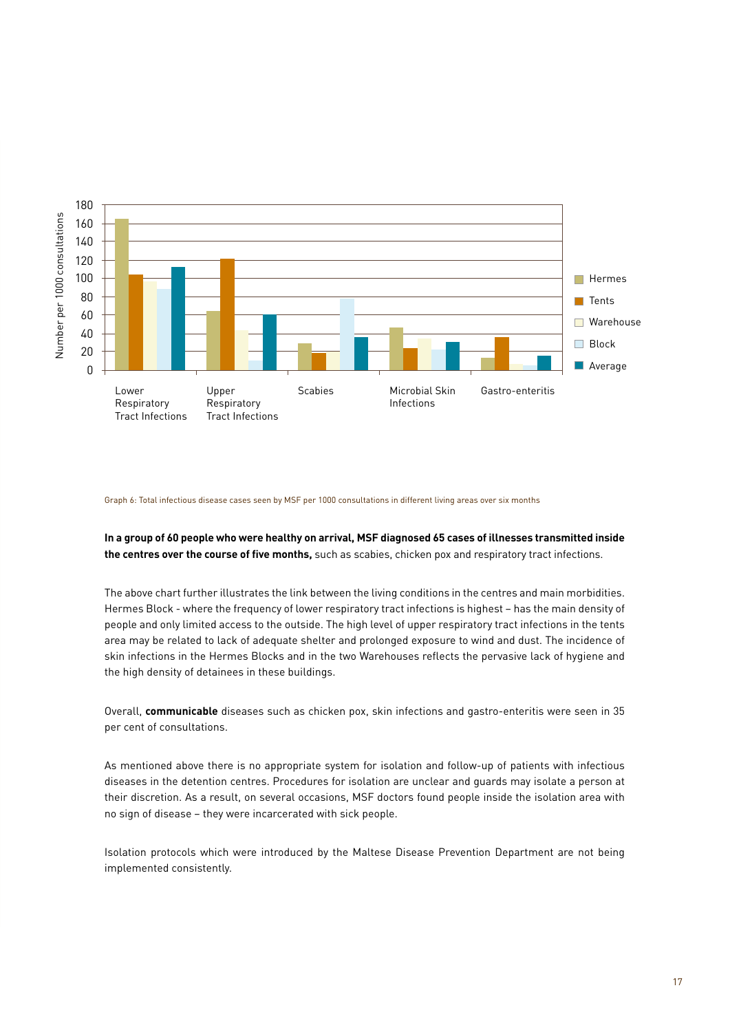

#### Graph 6: Total infectious disease cases seen by MSF per 1000 consultations in different living areas over six months

#### **In a group of 60 people who were healthy on arrival, MSF diagnosed 65 cases of illnesses transmitted inside the centres over the course of five months,** such as scabies, chicken pox and respiratory tract infections.

The above chart further illustrates the link between the living conditions in the centres and main morbidities. Hermes Block - where the frequency of lower respiratory tract infections is highest – has the main density of people and only limited access to the outside. The high level of upper respiratory tract infections in the tents area may be related to lack of adequate shelter and prolonged exposure to wind and dust. The incidence of skin infections in the Hermes Blocks and in the two Warehouses reflects the pervasive lack of hygiene and the high density of detainees in these buildings.

Overall, **communicable** diseases such as chicken pox, skin infections and gastro-enteritis were seen in 35 per cent of consultations.

As mentioned above there is no appropriate system for isolation and follow-up of patients with infectious diseases in the detention centres. Procedures for isolation are unclear and guards may isolate a person at their discretion. As a result, on several occasions, MSF doctors found people inside the isolation area with no sign of disease – they were incarcerated with sick people.

Isolation protocols which were introduced by the Maltese Disease Prevention Department are not being implemented consistently.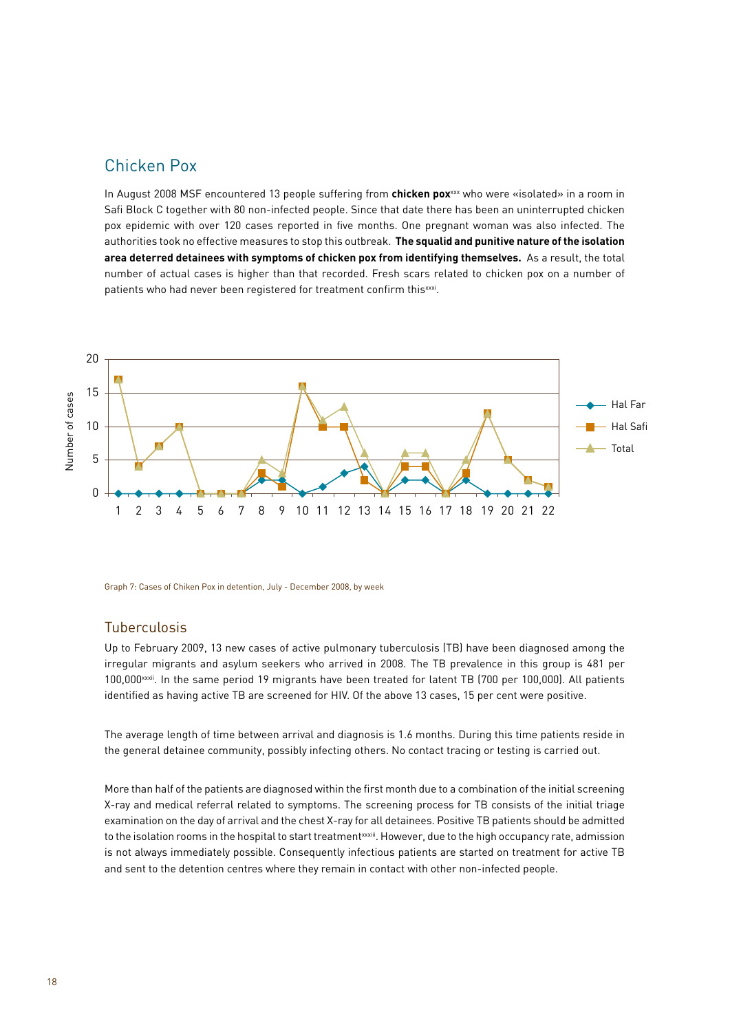## Chicken Pox

In August 2008 MSF encountered 13 people suffering from **chicken pox**xxx who were «isolated» in a room in Safi Block C together with 80 non-infected people. Since that date there has been an uninterrupted chicken pox epidemic with over 120 cases reported in five months. One pregnant woman was also infected. The authorities took no effective measures to stop this outbreak. **The squalid and punitive nature of the isolation area deterred detainees with symptoms of chicken pox from identifying themselves.** As a result, the total number of actual cases is higher than that recorded. Fresh scars related to chicken pox on a number of patients who had never been registered for treatment confirm this xxxi.



Graph 7: Cases of Chiken Pox in detention, July - December 2008, by week

#### Tuberculosis

Up to February 2009, 13 new cases of active pulmonary tuberculosis (TB) have been diagnosed among the irregular migrants and asylum seekers who arrived in 2008. The TB prevalence in this group is 481 per 100,000xxxii. In the same period 19 migrants have been treated for latent TB (700 per 100,000). All patients identified as having active TB are screened for HIV. Of the above 13 cases, 15 per cent were positive.

The average length of time between arrival and diagnosis is 1.6 months. During this time patients reside in the general detainee community, possibly infecting others. No contact tracing or testing is carried out.

More than half of the patients are diagnosed within the first month due to a combination of the initial screening X-ray and medical referral related to symptoms. The screening process for TB consists of the initial triage examination on the day of arrival and the chest X-ray for all detainees. Positive TB patients should be admitted to the isolation rooms in the hospital to start treatmentxxiii. However, due to the high occupancy rate, admission is not always immediately possible. Consequently infectious patients are started on treatment for active TB and sent to the detention centres where they remain in contact with other non-infected people.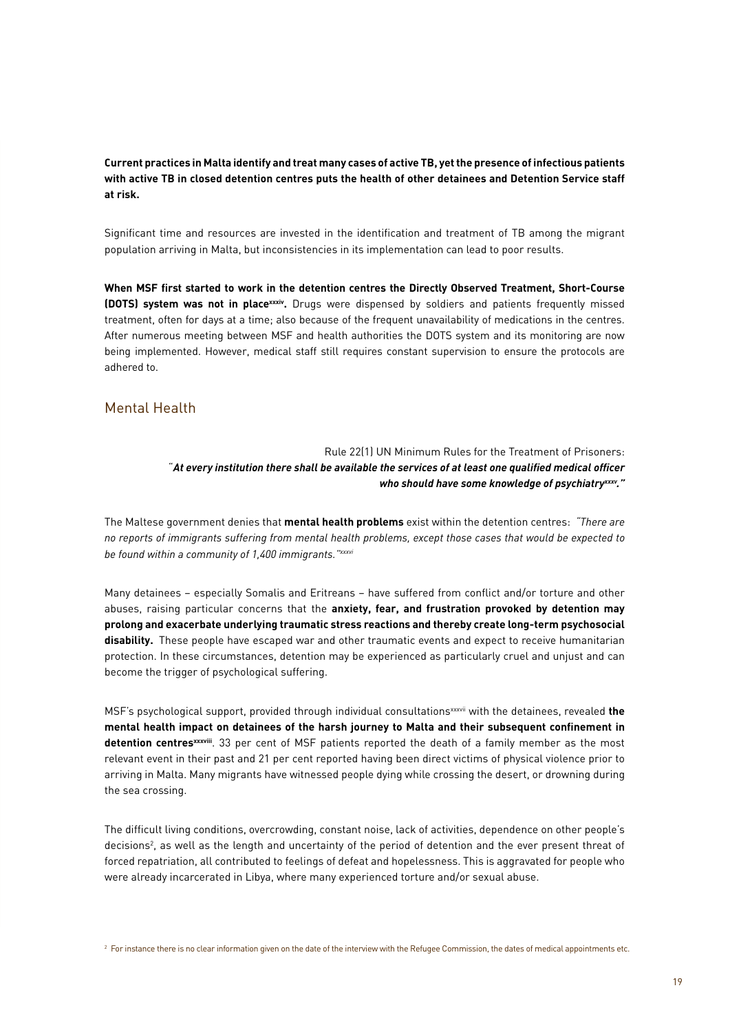#### **Current practices in Malta identify and treat many cases of active TB, yet the presence of infectious patients with active TB in closed detention centres puts the health of other detainees and Detention Service staff at risk.**

Significant time and resources are invested in the identification and treatment of TB among the migrant population arriving in Malta, but inconsistencies in its implementation can lead to poor results.

**When MSF first started to work in the detention centres the Directly Observed Treatment, Short-Course (DOTS) system was not in placexxxiv.** Drugs were dispensed by soldiers and patients frequently missed treatment, often for days at a time; also because of the frequent unavailability of medications in the centres. After numerous meeting between MSF and health authorities the DOTS system and its monitoring are now being implemented. However, medical staff still requires constant supervision to ensure the protocols are adhered to.

#### Mental Health

#### Rule 22(1) UN Minimum Rules for the Treatment of Prisoners: "*At every institution there shall be available the services of at least one qualified medical officer who should have some knowledge of psychiatryxxxv."*

The Maltese government denies that **mental health problems** exist within the detention centres: *"There are no reports of immigrants suffering from mental health problems, except those cases that would be expected to be found within a community of 1,400 immigrants."xxxvi*

Many detainees – especially Somalis and Eritreans – have suffered from conflict and/or torture and other abuses, raising particular concerns that the **anxiety, fear, and frustration provoked by detention may prolong and exacerbate underlying traumatic stress reactions and thereby create long-term psychosocial disability.** These people have escaped war and other traumatic events and expect to receive humanitarian protection. In these circumstances, detention may be experienced as particularly cruel and unjust and can become the trigger of psychological suffering.

MSF's psychological support, provided through individual consultationsxxxvii with the detainees, revealed **the mental health impact on detainees of the harsh journey to Malta and their subsequent confinement in detention centresxxxviii**. 33 per cent of MSF patients reported the death of a family member as the most relevant event in their past and 21 per cent reported having been direct victims of physical violence prior to arriving in Malta. Many migrants have witnessed people dying while crossing the desert, or drowning during the sea crossing.

The difficult living conditions, overcrowding, constant noise, lack of activities, dependence on other people's decisions2 , as well as the length and uncertainty of the period of detention and the ever present threat of forced repatriation, all contributed to feelings of defeat and hopelessness. This is aggravated for people who were already incarcerated in Libya, where many experienced torture and/or sexual abuse.

<sup>2</sup> For instance there is no clear information given on the date of the interview with the Refugee Commission, the dates of medical appointments etc.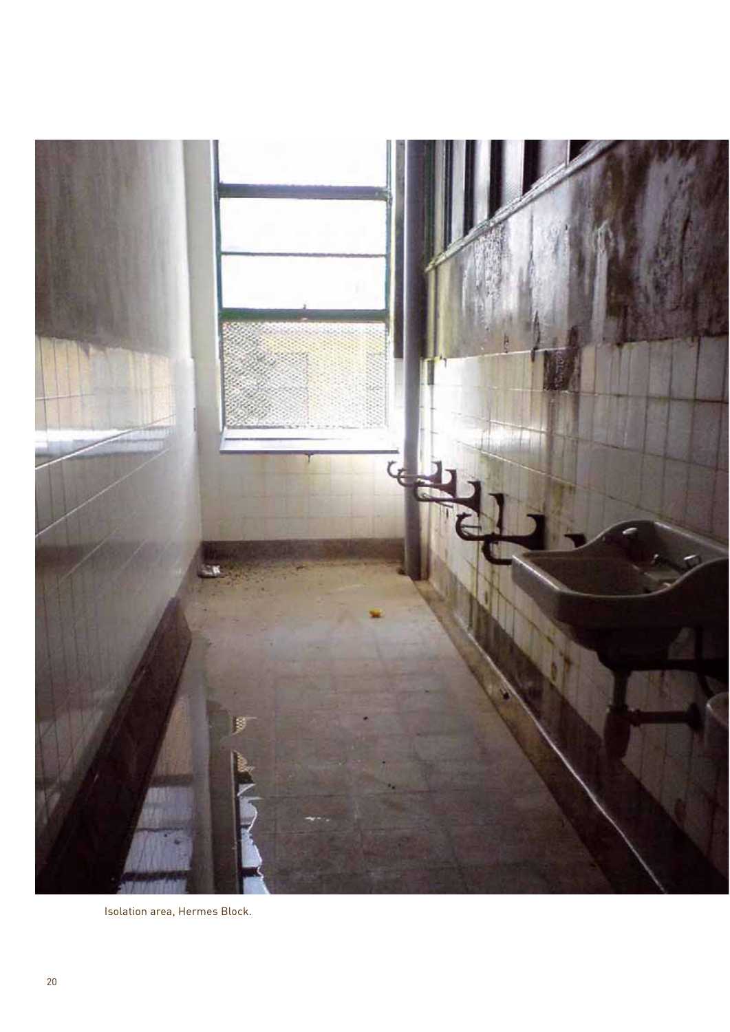

Isolation area, Hermes Block.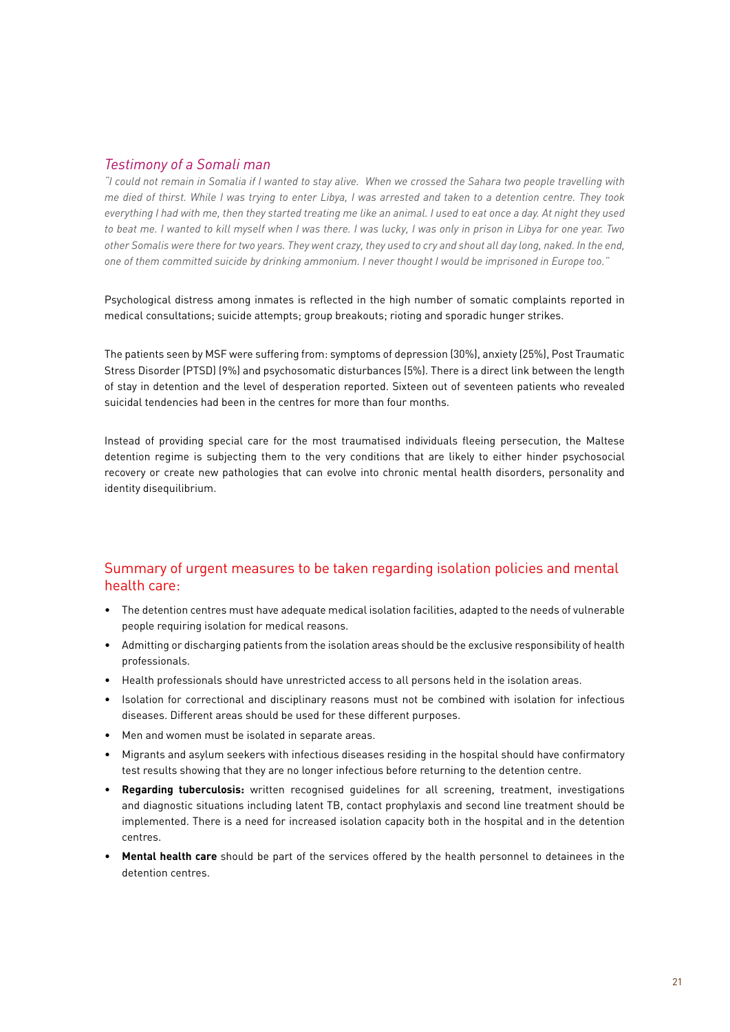#### *Testimony of a Somali man*

*"I could not remain in Somalia if I wanted to stay alive. When we crossed the Sahara two people travelling with me died of thirst. While I was trying to enter Libya, I was arrested and taken to a detention centre. They took everything I had with me, then they started treating me like an animal. I used to eat once a day. At night they used to beat me. I wanted to kill myself when I was there. I was lucky, I was only in prison in Libya for one year. Two other Somalis were there for two years. They went crazy, they used to cry and shout all day long, naked. In the end, one of them committed suicide by drinking ammonium. I never thought I would be imprisoned in Europe too."* 

Psychological distress among inmates is reflected in the high number of somatic complaints reported in medical consultations; suicide attempts; group breakouts; rioting and sporadic hunger strikes.

The patients seen by MSF were suffering from: symptoms of depression (30%), anxiety (25%), Post Traumatic Stress Disorder (PTSD) (9%) and psychosomatic disturbances (5%). There is a direct link between the length of stay in detention and the level of desperation reported. Sixteen out of seventeen patients who revealed suicidal tendencies had been in the centres for more than four months.

Instead of providing special care for the most traumatised individuals fleeing persecution, the Maltese detention regime is subjecting them to the very conditions that are likely to either hinder psychosocial recovery or create new pathologies that can evolve into chronic mental health disorders, personality and identity disequilibrium.

### Summary of urgent measures to be taken regarding isolation policies and mental health care:

- The detention centres must have adequate medical isolation facilities, adapted to the needs of vulnerable people requiring isolation for medical reasons.
- Admitting or discharging patients from the isolation areas should be the exclusive responsibility of health professionals.
- Health professionals should have unrestricted access to all persons held in the isolation areas.
- Isolation for correctional and disciplinary reasons must not be combined with isolation for infectious diseases. Different areas should be used for these different purposes.
- $\bullet$  Men and women must be isolated in separate areas.
- Migrants and asylum seekers with infectious diseases residing in the hospital should have confirmatory test results showing that they are no longer infectious before returning to the detention centre.
- **Regarding tuberculosis:** written recognised guidelines for all screening, treatment, investigations and diagnostic situations including latent TB, contact prophylaxis and second line treatment should be implemented. There is a need for increased isolation capacity both in the hospital and in the detention centres.
- **Mental health care** should be part of the services offered by the health personnel to detainees in the detention centres.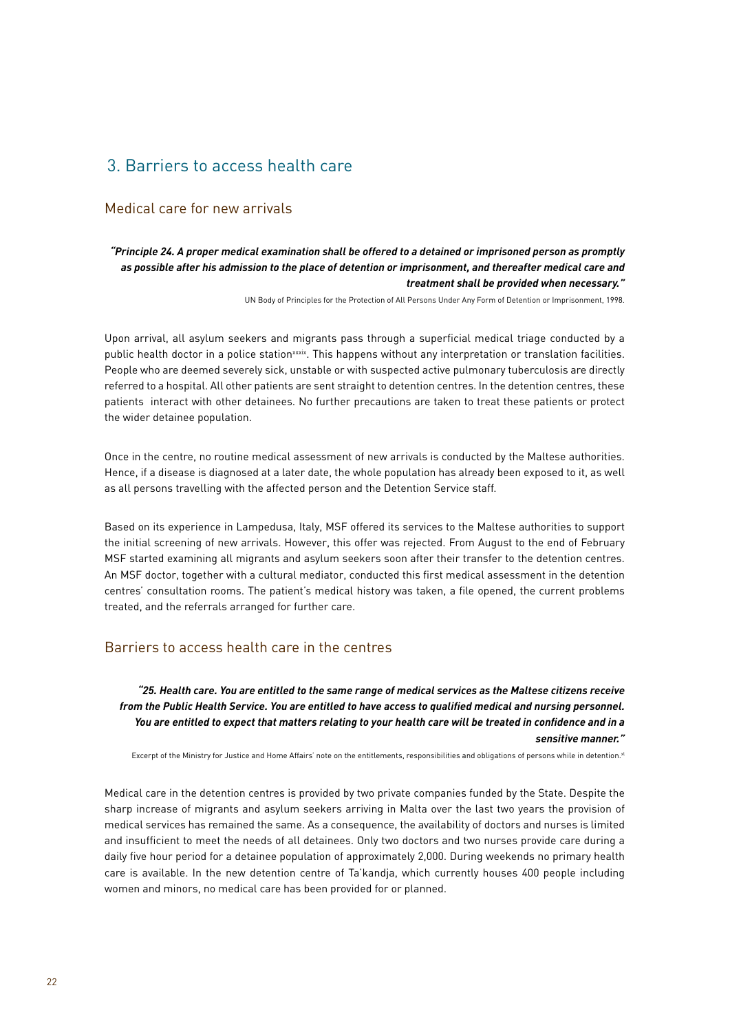# 3. Barriers to access health care

### Medical care for new arrivals

#### *"Principle 24. A proper medical examination shall be offered to a detained or imprisoned person as promptly as possible after his admission to the place of detention or imprisonment, and thereafter medical care and treatment shall be provided when necessary."*

UN Body of Principles for the Protection of All Persons Under Any Form of Detention or Imprisonment, 1998.

Upon arrival, all asylum seekers and migrants pass through a superficial medical triage conducted by a public health doctor in a police station<sup>xxxix</sup>. This happens without any interpretation or translation facilities. People who are deemed severely sick, unstable or with suspected active pulmonary tuberculosis are directly referred to a hospital. All other patients are sent straight to detention centres. In the detention centres, these patients interact with other detainees. No further precautions are taken to treat these patients or protect the wider detainee population.

Once in the centre, no routine medical assessment of new arrivals is conducted by the Maltese authorities. Hence, if a disease is diagnosed at a later date, the whole population has already been exposed to it, as well as all persons travelling with the affected person and the Detention Service staff.

Based on its experience in Lampedusa, Italy, MSF offered its services to the Maltese authorities to support the initial screening of new arrivals. However, this offer was rejected. From August to the end of February MSF started examining all migrants and asylum seekers soon after their transfer to the detention centres. An MSF doctor, together with a cultural mediator, conducted this first medical assessment in the detention centres' consultation rooms. The patient's medical history was taken, a file opened, the current problems treated, and the referrals arranged for further care.

#### Barriers to access health care in the centres

*"25. Health care. You are entitled to the same range of medical services as the Maltese citizens receive from the Public Health Service. You are entitled to have access to qualified medical and nursing personnel. You are entitled to expect that matters relating to your health care will be treated in confidence and in a sensitive manner."* 

Excerpt of the Ministry for Justice and Home Affairs' note on the entitlements, responsibilities and obligations of persons while in detention.<sup>xl</sup>

Medical care in the detention centres is provided by two private companies funded by the State. Despite the sharp increase of migrants and asylum seekers arriving in Malta over the last two years the provision of medical services has remained the same. As a consequence, the availability of doctors and nurses is limited and insufficient to meet the needs of all detainees. Only two doctors and two nurses provide care during a daily five hour period for a detainee population of approximately 2,000. During weekends no primary health care is available. In the new detention centre of Ta'kandja, which currently houses 400 people including women and minors, no medical care has been provided for or planned.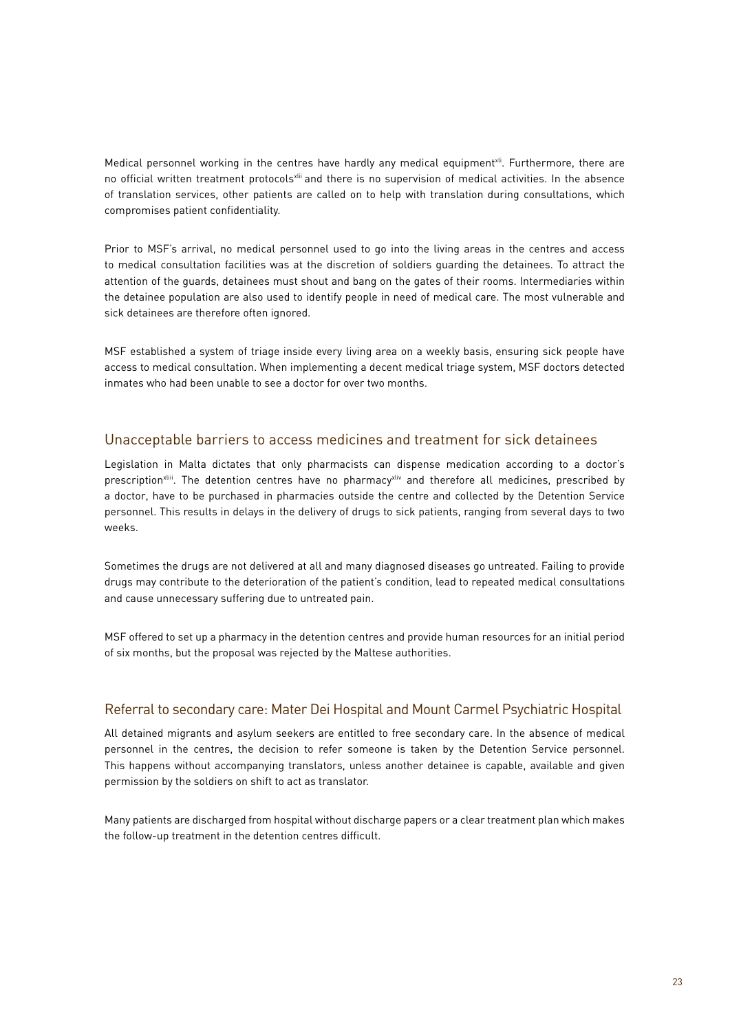Medical personnel working in the centres have hardly any medical equipment<sup>xli</sup>. Furthermore, there are no official written treatment protocols<sup>xii</sup> and there is no supervision of medical activities. In the absence of translation services, other patients are called on to help with translation during consultations, which compromises patient confidentiality.

Prior to MSF's arrival, no medical personnel used to go into the living areas in the centres and access to medical consultation facilities was at the discretion of soldiers guarding the detainees. To attract the attention of the guards, detainees must shout and bang on the gates of their rooms. Intermediaries within the detainee population are also used to identify people in need of medical care. The most vulnerable and sick detainees are therefore often ignored.

MSF established a system of triage inside every living area on a weekly basis, ensuring sick people have access to medical consultation. When implementing a decent medical triage system, MSF doctors detected inmates who had been unable to see a doctor for over two months.

#### Unacceptable barriers to access medicines and treatment for sick detainees

Legislation in Malta dictates that only pharmacists can dispense medication according to a doctor's prescription<sup>xliii</sup>. The detention centres have no pharmacy<sup>xliv</sup> and therefore all medicines, prescribed by a doctor, have to be purchased in pharmacies outside the centre and collected by the Detention Service personnel. This results in delays in the delivery of drugs to sick patients, ranging from several days to two weeks.

Sometimes the drugs are not delivered at all and many diagnosed diseases go untreated. Failing to provide drugs may contribute to the deterioration of the patient's condition, lead to repeated medical consultations and cause unnecessary suffering due to untreated pain.

MSF offered to set up a pharmacy in the detention centres and provide human resources for an initial period of six months, but the proposal was rejected by the Maltese authorities.

#### Referral to secondary care: Mater Dei Hospital and Mount Carmel Psychiatric Hospital

All detained migrants and asylum seekers are entitled to free secondary care. In the absence of medical personnel in the centres, the decision to refer someone is taken by the Detention Service personnel. This happens without accompanying translators, unless another detainee is capable, available and given permission by the soldiers on shift to act as translator.

Many patients are discharged from hospital without discharge papers or a clear treatment plan which makes the follow-up treatment in the detention centres difficult.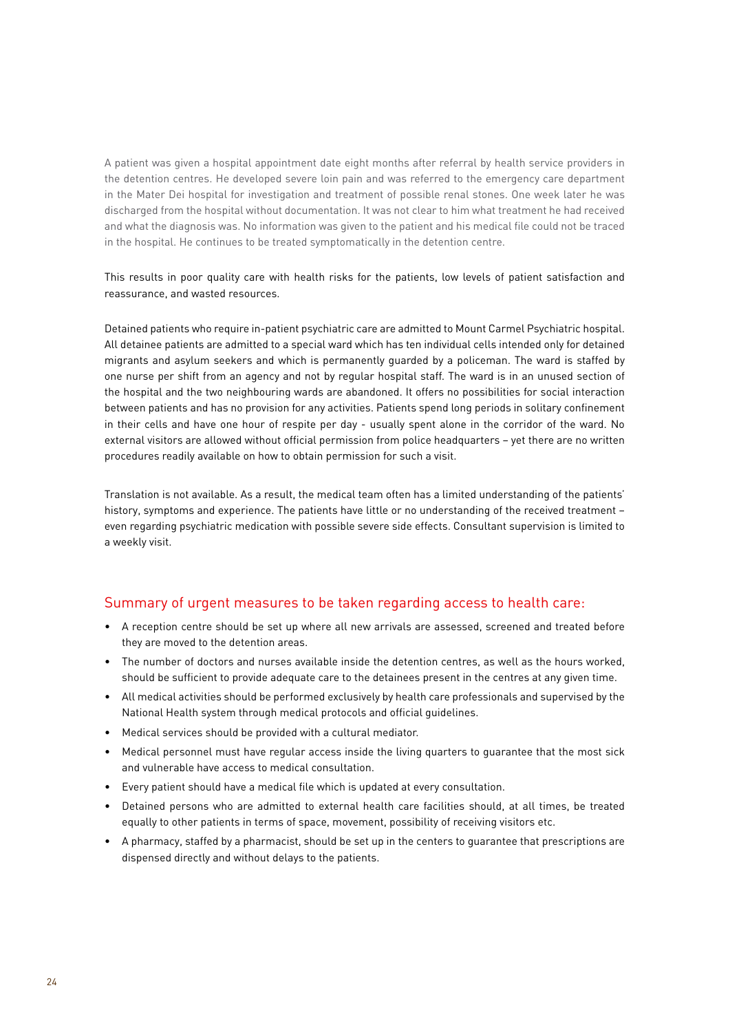A patient was given a hospital appointment date eight months after referral by health service providers in the detention centres. He developed severe loin pain and was referred to the emergency care department in the Mater Dei hospital for investigation and treatment of possible renal stones. One week later he was discharged from the hospital without documentation. It was not clear to him what treatment he had received and what the diagnosis was. No information was given to the patient and his medical file could not be traced in the hospital. He continues to be treated symptomatically in the detention centre.

This results in poor quality care with health risks for the patients, low levels of patient satisfaction and reassurance, and wasted resources.

Detained patients who require in-patient psychiatric care are admitted to Mount Carmel Psychiatric hospital. All detainee patients are admitted to a special ward which has ten individual cells intended only for detained migrants and asylum seekers and which is permanently guarded by a policeman. The ward is staffed by one nurse per shift from an agency and not by regular hospital staff. The ward is in an unused section of the hospital and the two neighbouring wards are abandoned. It offers no possibilities for social interaction between patients and has no provision for any activities. Patients spend long periods in solitary confinement in their cells and have one hour of respite per day - usually spent alone in the corridor of the ward. No external visitors are allowed without official permission from police headquarters – yet there are no written procedures readily available on how to obtain permission for such a visit.

Translation is not available. As a result, the medical team often has a limited understanding of the patients' history, symptoms and experience. The patients have little or no understanding of the received treatment – even regarding psychiatric medication with possible severe side effects. Consultant supervision is limited to a weekly visit.

#### Summary of urgent measures to be taken regarding access to health care:

- A reception centre should be set up where all new arrivals are assessed, screened and treated before they are moved to the detention areas.
- $\bullet$  The number of doctors and nurses available inside the detention centres, as well as the hours worked. should be sufficient to provide adequate care to the detainees present in the centres at any given time.
- All medical activities should be performed exclusively by health care professionals and supervised by the National Health system through medical protocols and official guidelines.
- $\bullet$  Medical services should be provided with a cultural mediator.
- Medical personnel must have regular access inside the living quarters to quarantee that the most sick and vulnerable have access to medical consultation.
- Every patient should have a medical file which is updated at every consultation.
- Detained persons who are admitted to external health care facilities should, at all times, be treated equally to other patients in terms of space, movement, possibility of receiving visitors etc.
- A pharmacy, staffed by a pharmacist, should be set up in the centers to quarantee that prescriptions are dispensed directly and without delays to the patients.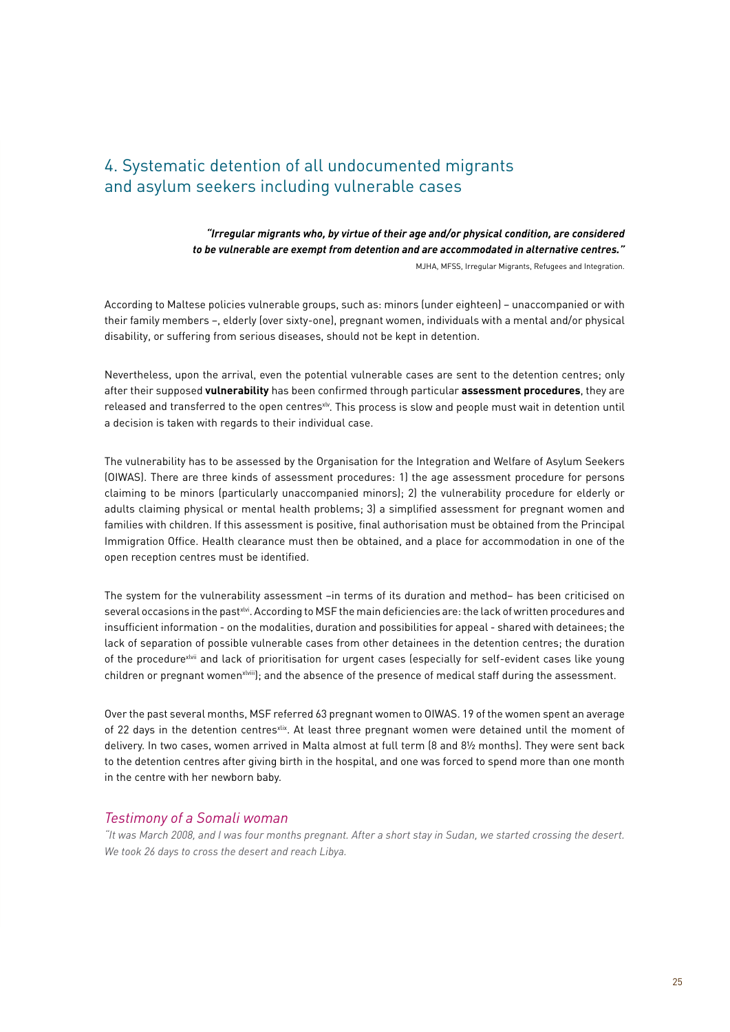# 4. Systematic detention of all undocumented migrants and asylum seekers including vulnerable cases

*"Irregular migrants who, by virtue of their age and/or physical condition, are considered to be vulnerable are exempt from detention and are accommodated in alternative centres."* MJHA, MFSS, Irregular Migrants, Refugees and Integration.

According to Maltese policies vulnerable groups, such as: minors (under eighteen) – unaccompanied or with their family members –, elderly (over sixty-one), pregnant women, individuals with a mental and/or physical disability, or suffering from serious diseases, should not be kept in detention.

Nevertheless, upon the arrival, even the potential vulnerable cases are sent to the detention centres; only after their supposed **vulnerability** has been confirmed through particular **assessment procedures**, they are released and transferred to the open centres<sup>xly</sup>. This process is slow and people must wait in detention until a decision is taken with regards to their individual case.

The vulnerability has to be assessed by the Organisation for the Integration and Welfare of Asylum Seekers (OIWAS). There are three kinds of assessment procedures: 1) the age assessment procedure for persons claiming to be minors (particularly unaccompanied minors); 2) the vulnerability procedure for elderly or adults claiming physical or mental health problems; 3) a simplified assessment for pregnant women and families with children. If this assessment is positive, final authorisation must be obtained from the Principal Immigration Office. Health clearance must then be obtained, and a place for accommodation in one of the open reception centres must be identified.

The system for the vulnerability assessment –in terms of its duration and method– has been criticised on several occasions in the past<sup>xlvi</sup>. According to MSF the main deficiencies are: the lack of written procedures and insufficient information - on the modalities, duration and possibilities for appeal - shared with detainees; the lack of separation of possible vulnerable cases from other detainees in the detention centres; the duration of the procedurexlvii and lack of prioritisation for urgent cases (especially for self-evident cases like young children or pregnant womenxiviii); and the absence of the presence of medical staff during the assessment.

Over the past several months, MSF referred 63 pregnant women to OIWAS. 19 of the women spent an average of 22 days in the detention centresxlix. At least three pregnant women were detained until the moment of delivery. In two cases, women arrived in Malta almost at full term (8 and 8½ months). They were sent back to the detention centres after giving birth in the hospital, and one was forced to spend more than one month in the centre with her newborn baby.

#### *Testimony of a Somali woman*

*"It was March 2008, and I was four months pregnant. After a short stay in Sudan, we started crossing the desert. We took 26 days to cross the desert and reach Libya.*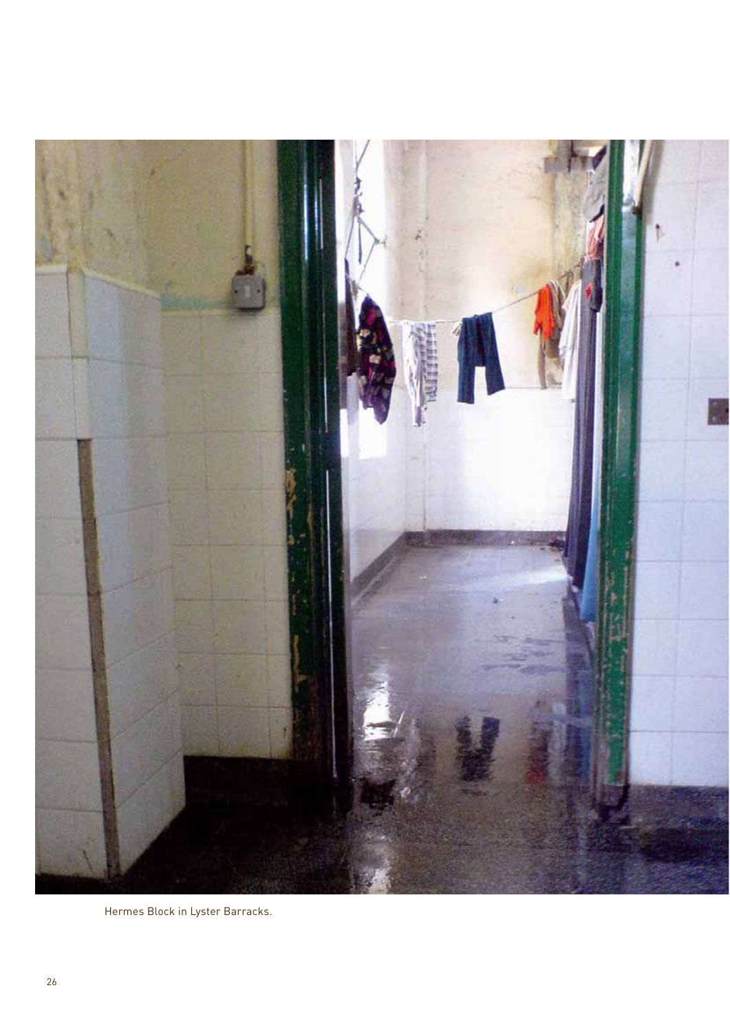

Hermes Block in Lyster Barracks.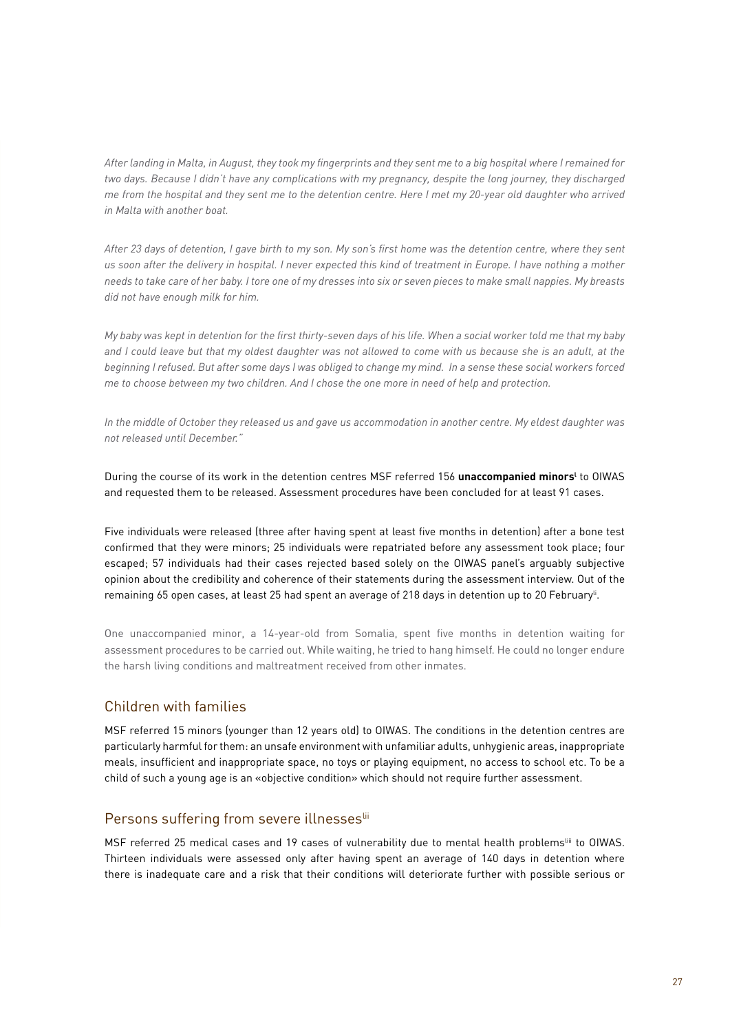*After landing in Malta, in August, they took my fingerprints and they sent me to a big hospital where I remained for two days. Because I didn't have any complications with my pregnancy, despite the long journey, they discharged me from the hospital and they sent me to the detention centre. Here I met my 20-year old daughter who arrived in Malta with another boat.*

*After 23 days of detention, I gave birth to my son. My son's first home was the detention centre, where they sent us soon after the delivery in hospital. I never expected this kind of treatment in Europe. I have nothing a mother needs to take care of her baby. I tore one of my dresses into six or seven pieces to make small nappies. My breasts did not have enough milk for him.* 

*My baby was kept in detention for the first thirty-seven days of his life. When a social worker told me that my baby and I could leave but that my oldest daughter was not allowed to come with us because she is an adult, at the beginning I refused. But after some days I was obliged to change my mind. In a sense these social workers forced me to choose between my two children. And I chose the one more in need of help and protection.*

*In the middle of October they released us and gave us accommodation in another centre. My eldest daughter was not released until December."*

During the course of its work in the detention centres MSF referred 156 **unaccompanied minorsl** to OIWAS and requested them to be released. Assessment procedures have been concluded for at least 91 cases.

Five individuals were released (three after having spent at least five months in detention) after a bone test confirmed that they were minors; 25 individuals were repatriated before any assessment took place; four escaped; 57 individuals had their cases rejected based solely on the OIWAS panel's arguably subjective opinion about the credibility and coherence of their statements during the assessment interview. Out of the remaining 65 open cases, at least 25 had spent an average of 218 days in detention up to 20 February<sup>i</sup>.

One unaccompanied minor, a 14-year-old from Somalia, spent five months in detention waiting for assessment procedures to be carried out. While waiting, he tried to hang himself. He could no longer endure the harsh living conditions and maltreatment received from other inmates.

#### Children with families

MSF referred 15 minors (younger than 12 years old) to OIWAS. The conditions in the detention centres are particularly harmful for them: an unsafe environment with unfamiliar adults, unhygienic areas, inappropriate meals, insufficient and inappropriate space, no toys or playing equipment, no access to school etc. To be a child of such a young age is an «objective condition» which should not require further assessment.

#### Persons suffering from severe illnesses<sup>lii</sup>

MSF referred 25 medical cases and 19 cases of vulnerability due to mental health problems<sup>iii</sup> to OIWAS. Thirteen individuals were assessed only after having spent an average of 140 days in detention where there is inadequate care and a risk that their conditions will deteriorate further with possible serious or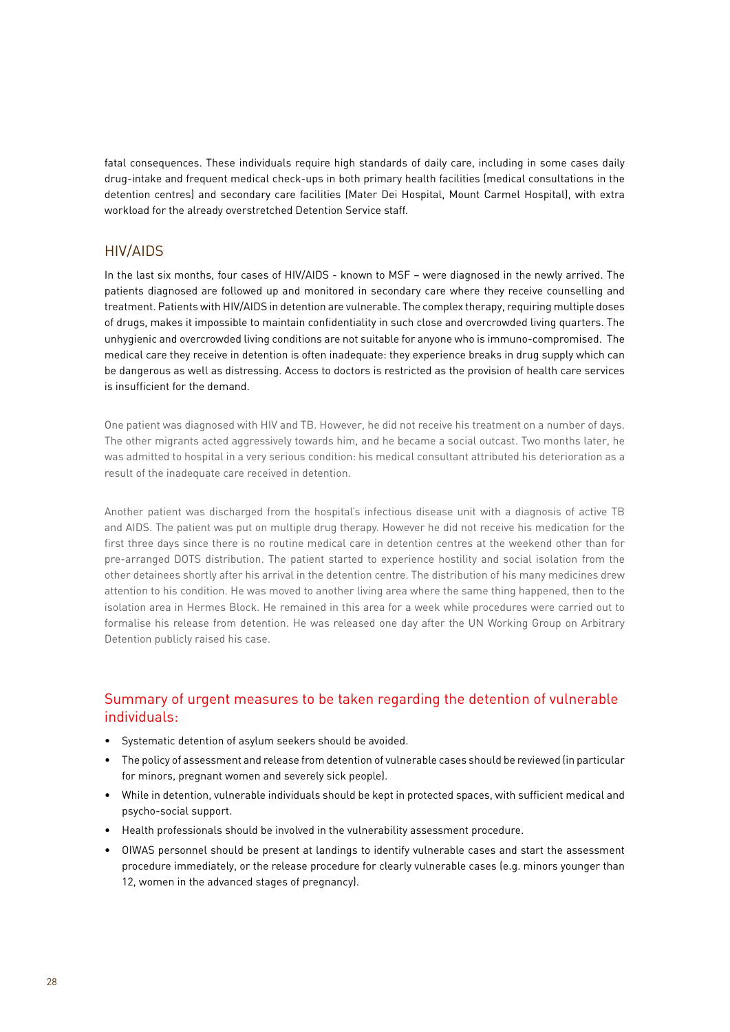fatal consequences. These individuals require high standards of daily care, including in some cases daily drug-intake and frequent medical check-ups in both primary health facilities (medical consultations in the detention centres) and secondary care facilities (Mater Dei Hospital, Mount Carmel Hospital), with extra workload for the already overstretched Detention Service staff.

#### HIV/AIDS

In the last six months, four cases of HIV/AIDS - known to MSF – were diagnosed in the newly arrived. The patients diagnosed are followed up and monitored in secondary care where they receive counselling and treatment. Patients with HIV/AIDS in detention are vulnerable. The complex therapy, requiring multiple doses of drugs, makes it impossible to maintain confidentiality in such close and overcrowded living quarters. The unhygienic and overcrowded living conditions are not suitable for anyone who is immuno-compromised. The medical care they receive in detention is often inadequate: they experience breaks in drug supply which can be dangerous as well as distressing. Access to doctors is restricted as the provision of health care services is insufficient for the demand.

One patient was diagnosed with HIV and TB. However, he did not receive his treatment on a number of days. The other migrants acted aggressively towards him, and he became a social outcast. Two months later, he was admitted to hospital in a very serious condition: his medical consultant attributed his deterioration as a result of the inadequate care received in detention.

Another patient was discharged from the hospital's infectious disease unit with a diagnosis of active TB and AIDS. The patient was put on multiple drug therapy. However he did not receive his medication for the first three days since there is no routine medical care in detention centres at the weekend other than for pre-arranged DOTS distribution. The patient started to experience hostility and social isolation from the other detainees shortly after his arrival in the detention centre. The distribution of his many medicines drew attention to his condition. He was moved to another living area where the same thing happened, then to the isolation area in Hermes Block. He remained in this area for a week while procedures were carried out to formalise his release from detention. He was released one day after the UN Working Group on Arbitrary Detention publicly raised his case.

#### Summary of urgent measures to be taken regarding the detention of vulnerable individuals:

- Systematic detention of asylum seekers should be avoided.
- The policy of assessment and release from detention of vulnerable cases should be reviewed (in particular for minors, pregnant women and severely sick people).
- While in detention, vulnerable individuals should be kept in protected spaces, with sufficient medical and psycho-social support.
- Health professionals should be involved in the vulnerability assessment procedure.
- OIWAS personnel should be present at landings to identify vulnerable cases and start the assessment procedure immediately, or the release procedure for clearly vulnerable cases (e.g. minors younger than 12, women in the advanced stages of pregnancy).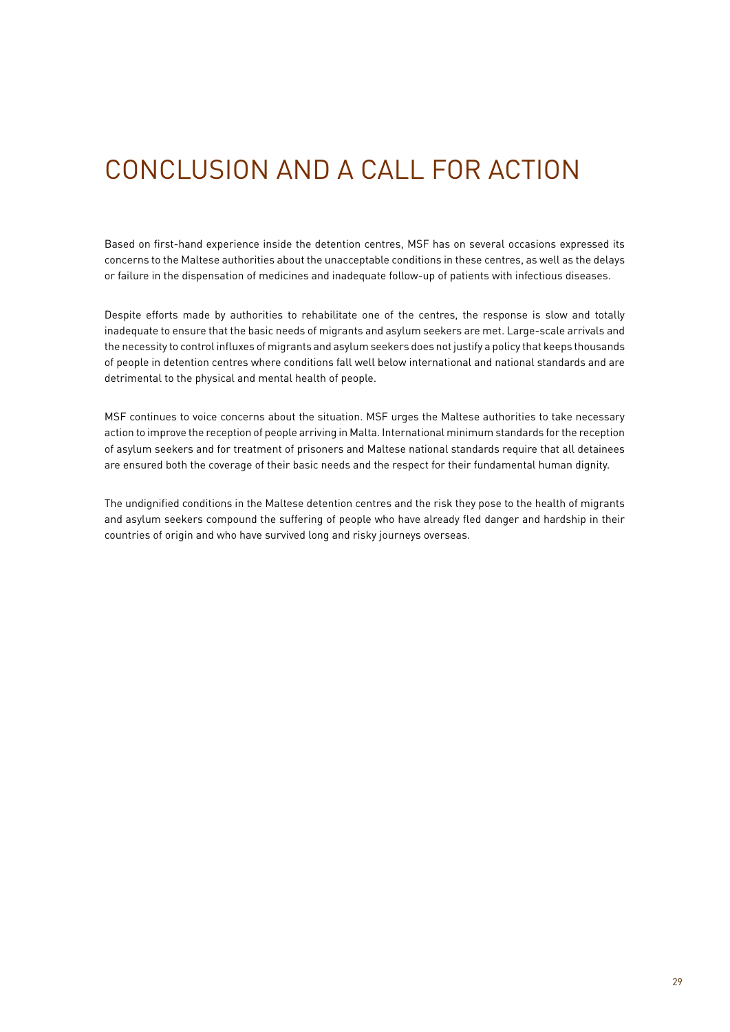# CONCLUSION AND A CALL FOR ACTION

Based on first-hand experience inside the detention centres, MSF has on several occasions expressed its concerns to the Maltese authorities about the unacceptable conditions in these centres, as well as the delays or failure in the dispensation of medicines and inadequate follow-up of patients with infectious diseases.

Despite efforts made by authorities to rehabilitate one of the centres, the response is slow and totally inadequate to ensure that the basic needs of migrants and asylum seekers are met. Large-scale arrivals and the necessity to control influxes of migrants and asylum seekers does not justify a policy that keeps thousands of people in detention centres where conditions fall well below international and national standards and are detrimental to the physical and mental health of people.

MSF continues to voice concerns about the situation. MSF urges the Maltese authorities to take necessary action to improve the reception of people arriving in Malta. International minimum standards for the reception of asylum seekers and for treatment of prisoners and Maltese national standards require that all detainees are ensured both the coverage of their basic needs and the respect for their fundamental human dignity.

The undignified conditions in the Maltese detention centres and the risk they pose to the health of migrants and asylum seekers compound the suffering of people who have already fled danger and hardship in their countries of origin and who have survived long and risky journeys overseas.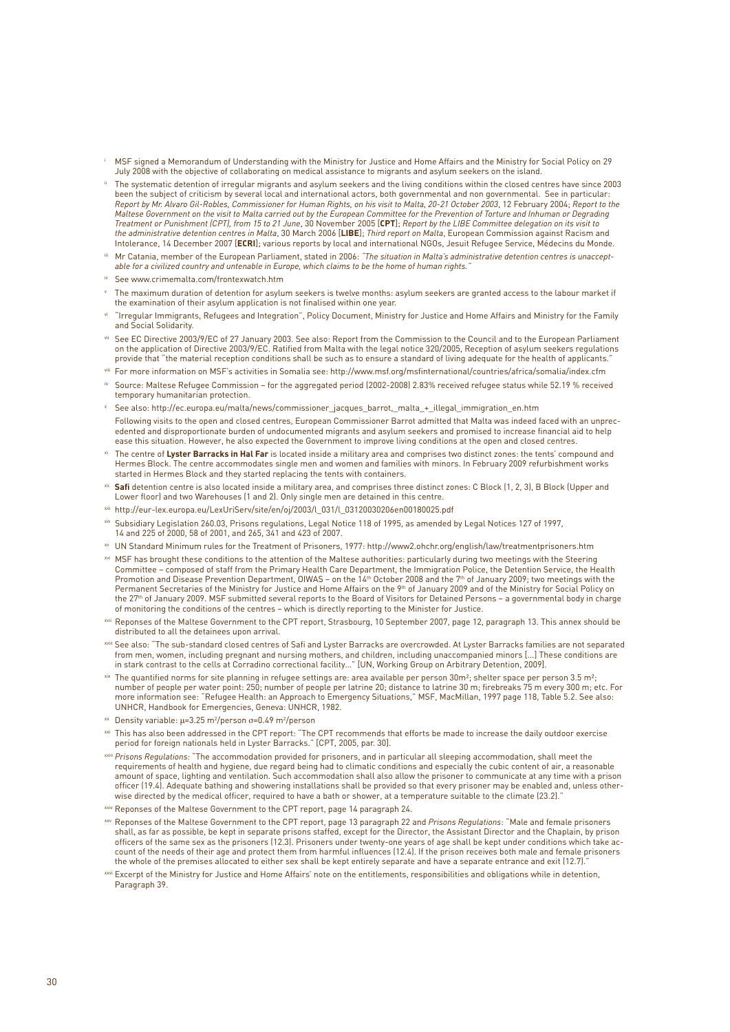- MSF signed a Memorandum of Understanding with the Ministry for Justice and Home Affairs and the Ministry for Social Policy on 29 July 2008 with the objective of collaborating on medical assistance to migrants and asylum seekers on the island.
- ii The systematic detention of irregular migrants and asylum seekers and the living conditions within the closed centres have since 2003 been the subject of criticism by several local and international actors, both governmental and non governmental. See in particular:<br>*Report by Mr. Alvaro Gil-Robles, Commissioner for Human Rights, on his visit to Malta, 2 Maltese Government on the visit to Malta carried out by the European Committee for the Prevention of Torture and Inhuman or Degrading Treatment or Punishment (CPT), from 15 to 21 June*, 30 November 2005 [**CPT**]; *Report by the LIBE Committee delegation on its visit to the administrative detention centres in Malta*, 30 March 2006 [**LIBE**]; *Third report on Malta*, European Commission against Racism and Intolerance, 14 December 2007 [**ECRI**]; various reports by local and international NGOs, Jesuit Refugee Service, Médecins du Monde.
- Mr Catania, member of the European Parliament, stated in 2006: "The situation in Malta's administrative detention centres is unaccept*able for a civilized country and untenable in Europe, which claims to be the home of human rights."*
- iv See www.crimemalta.com/frontexwatch.htm
- The maximum duration of detention for asylum seekers is twelve months: asylum seekers are granted access to the labour market if the examination of their asylum application is not finalised within one year.
- vi "Irregular Immigrants, Refugees and Integration", Policy Document, Ministry for Justice and Home Affairs and Ministry for the Family and Social Solidarity.
- i See EC Directive 2003/9/EC of 27 January 2003. See also: Report from the Commission to the Council and to the European Parliament<br>on the application of Directive 2003/9/EC. Ratified from Malta with the legal notice 320/2 provide that "the material reception conditions shall be such as to ensure a standard of living adequate for the health of applicants."
- viii For more information on MSF's activities in Somalia see: http://www.msf.org/msfinternational/countries/africa/somalia/index.cfm
- ix Source: Maltese Refugee Commission for the aggregated period (2002-2008) 2.83% received refugee status while 52.19 % received temporary humanitarian protection.
- <sup>x</sup> See also: http://ec.europa.eu/malta/news/commissioner\_jacques\_barrot,\_malta\_+\_illegal\_immigration\_en.htm
- Following visits to the open and closed centres, European Commissioner Barrot admitted that Malta was indeed faced with an unprecedented and disproportionate burden of undocumented migrants and asylum seekers and promised to increase financial aid to help ease this situation. However, he also expected the Government to improve living conditions at the open and closed centres.
- The centre of Lyster Barracks in Hal Far is located inside a military area and comprises two distinct zones: the tents' compound and Hermes Block. The centre accommodates single men and women and families with minors. In February 2009 refurbishment works started in Hermes Block and they started replacing the tents with containers.
- xii **Safi** detention centre is also located inside a military area, and comprises three distinct zones: C Block (1, 2, 3), B Block (Upper and Lower floor) and two Warehouses (1 and 2). Only single men are detained in this centre.
- xiii http://eur-lex.europa.eu/LexUriServ/site/en/oj/2003/l\_031/l\_03120030206en00180025.pdf
- v<br>Virt Subsidiary Legislation 260.03, Prisons regulations, Legal Notice 118 of 1995, as amended by Legal Notices 127 of 1997, 14 and 225 of 2000, 58 of 2001, and 265, 341 and 423 of 2007.
- xv UN Standard Minimum rules for the Treatment of Prisoners, 1977: http://www2.ohchr.org/english/law/treatmentprisoners.htm
- xvi MSF has brought these conditions to the attention of the Maltese authorities: particularly during two meetings with the Steering Committee – composed of staff from the Primary Health Care Department, the Immigration Police, the Detention Service, the Health Promotion and Disease Prevention Department, OIWAS – on the 14th October 2008 and the 7th of January 2009; two meetings with the<br>Permanent Secretaries of the Ministry for Justice and Home Affairs on the 9th of January 2009 the 27th of January 2009. MSF submitted several reports to the Board of Visitors for Detained Persons – a governmental body in charge of monitoring the conditions of the centres – which is directly reporting to the Minister for Justice.
- xvii Reponses of the Maltese Government to the CPT report, Strasbourg, 10 September 2007, page 12, paragraph 13. This annex should be distributed to all the detainees upon arrival.
- xviii See also: "The sub-standard closed centres of Safi and Lyster Barracks are overcrowded. At Lyster Barracks families are not separated from men, women, including pregnant and nursing mothers, and children, including unaccompanied minors […] These conditions are<br>in stark contrast to the cells at Corradino correctional facility…" [UN, Working Group on Arbit
- $x^2$  The quantified norms for site planning in refugee settings are: area available per person 30m<sup>2</sup>; shelter space per person 3.5 m<sup>2</sup>; number of people per water point: 250; number of people per latrine 20; distance to latrine 30 m; firebreaks 75 m every 300 m; etc. For more information see: "Refugee Health: an Approach to Emergency Situations," MSF, MacMillan, 1997 page 118, Table 5.2. See also: UNHCR, Handbook for Emergencies, Geneva: UNHCR, 1982.
- $\mathrm{^{xx}}$  Density variable:  $\mu$ =3.25 m²/person σ=0.49 m²/person
- $^\mathrm{xi}$  This has also been addressed in the CPT report: "The CPT recommends that efforts be made to increase the daily outdoor exercise period for foreign nationals held in Lyster Barracks." [CPT, 2005, par. 30].
- xxiii *Prisons Regulations:* "The accommodation provided for prisoners, and in particular all sleeping accommodation, shall meet the requirements of health and hygiene, due regard being had to climatic conditions and especially the cubic content of air, a reasonable amount of space, lighting and ventilation. Such accommodation shall also allow the prisoner to communicate at any time with a prison officer (19.4). Adequate bathing and showering installations shall be provided so that every prisoner may be enabled and, unless other-<br>wise directed by the medical officer, required to have a bath or shower, at a temperat
- xxiv Reponses of the Maltese Government to the CPT report, page 14 paragraph 24.
- xxv Reponses of the Maltese Government to the CPT report, page 13 paragraph 22 and *Prisons Regulations*: "Male and female prisoners shall, as far as possible, be kept in separate prisons staffed, except for the Director, the Assistant Director and the Chaplain, by prison officers of the same sex as the prisoners (12.3). Prisoners under twenty-one years of age shall be kept under conditions which take account of the needs of their age and protect them from harmful influences (12.4). If the prison receives both male and female prisoners the whole of the premises allocated to either sex shall be kept entirely separate and have a separate entrance and exit (12.7).
- **Excerpt of the Ministry for Justice and Home Affairs' note on the entitlements, responsibilities and obligations while in detention,** Paragraph 39.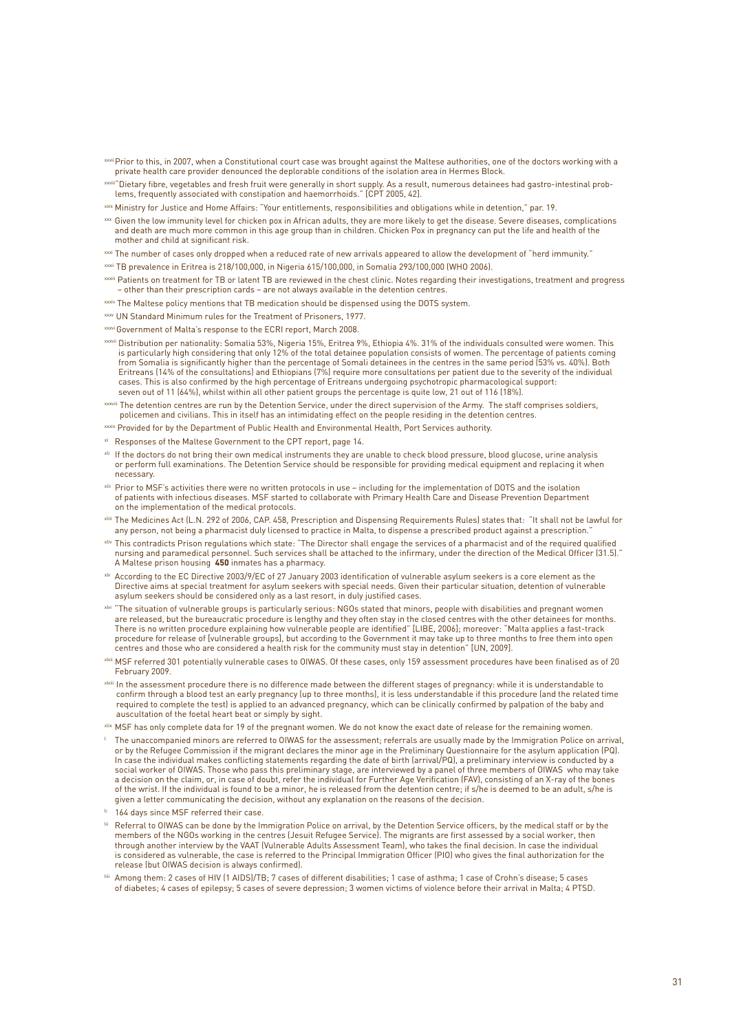- xxvii Prior to this, in 2007, when a Constitutional court case was brought against the Maltese authorities, one of the doctors working with a private health care provider denounced the deplorable conditions of the isolation area in Hermes Block.
- xxviii"Dietary fibre, vegetables and fresh fruit were generally in short supply. As a result, numerous detainees had gastro-intestinal problems, frequently associated with constipation and haemorrhoids." [CPT 2005, 42].
- xxix Ministry for Justice and Home Affairs: "Your entitlements, responsibilities and obligations while in detention," par. 19.
- xxx Given the low immunity level for chicken pox in African adults, they are more likely to get the disease. Severe diseases, complications and death are much more common in this age group than in children. Chicken Pox in pregnancy can put the life and health of the mother and child at significant risk.
- xxxi The number of cases only dropped when a reduced rate of new arrivals appeared to allow the development of "herd immunity."
- xxxii TB prevalence in Eritrea is 218/100,000, in Nigeria 615/100,000, in Somalia 293/100,000 (WHO 2006).
- xxxiii Patients on treatment for TB or latent TB are reviewed in the chest clinic. Notes regarding their investigations, treatment and progress – other than their prescription cards – are not always available in the detention centres.
- xxxiv The Maltese policy mentions that TB medication should be dispensed using the DOTS system.
- xxxv UN Standard Minimum rules for the Treatment of Prisoners, 1977.
- xxxviGovernment of Malta's response to the ECRI report, March 2008.
- xxxvii Distribution per nationality: Somalia 53%, Nigeria 15%, Eritrea 9%, Ethiopia 4%. 31% of the individuals consulted were women. This is particularly high considering that only 12% of the total detainee population consists of women. The percentage of patients coming from Somalia is significantly higher than the percentage of Somali detainees in the centres in the same period (53% vs. 40%). Both Eritreans (14% of the consultations) and Ethiopians (7%) require more consultations per patient due to the severity of the individual cases. This is also confirmed by the high percentage of Eritreans undergoing psychotropic pharmacological support: seven out of 11 (64%), whilst within all other patient groups the percentage is quite low, 21 out of 116 (18%).
- xxxviii The detention centres are run by the Detention Service, under the direct supervision of the Army. The staff comprises soldiers, policemen and civilians. This in itself has an intimidating effect on the people residing in the detention centres.
- xxxix Provided for by the Department of Public Health and Environmental Health, Port Services authority.
- xl Responses of the Maltese Government to the CPT report, page 14.
- xli If the doctors do not bring their own medical instruments they are unable to check blood pressure, blood glucose, urine analysis or perform full examinations. The Detention Service should be responsible for providing medical equipment and replacing it when necessary.
- xlii Prior to MSF's activities there were no written protocols in use including for the implementation of DOTS and the isolation of patients with infectious diseases. MSF started to collaborate with Primary Health Care and Disease Prevention Department on the implementation of the medical protocols.
- xliii The Medicines Act (L.N. 292 of 2006, CAP. 458, Prescription and Dispensing Requirements Rules) states that: "It shall not be lawful for any person, not being a pharmacist duly licensed to practice in Malta, to dispense a prescribed product against a prescription."
- xliv This contradicts Prison regulations which state: "The Director shall engage the services of a pharmacist and of the required qualified nursing and paramedical personnel. Such services shall be attached to the infirmary, under the direction of the Medical Officer (31.5)." A Maltese prison housing **450** inmates has a pharmacy.
- xlv According to the EC Directive 2003/9/EC of 27 January 2003 identification of vulnerable asylum seekers is a core element as the Directive aims at special treatment for asylum seekers with special needs. Given their particular situation, detention of vulnerable asylum seekers should be considered only as a last resort, in duly justified cases.
- xivi "The situation of vulnerable groups is particularly serious: NGOs stated that minors, people with disabilities and pregnant women are released, but the bureaucratic procedure is lengthy and they often stay in the closed centres with the other detainees for months. There is no written procedure explaining how vulnerable people are identified" [LIBE, 2006]; moreover: "Malta applies a fast-track procedure for release of [vulnerable groups], but according to the Government it may take up to three months to free them into open centres and those who are considered a health risk for the community must stay in detention" [UN, 2009].
- xlvii MSF referred 301 potentially vulnerable cases to OIWAS. Of these cases, only 159 assessment procedures have been finalised as of 20 February 2009.
- xlviii In the assessment procedure there is no difference made between the different stages of pregnancy: while it is understandable to confirm through a blood test an early pregnancy (up to three months), it is less understandable if this procedure (and the related time required to complete the test) is applied to an advanced pregnancy, which can be clinically confirmed by palpation of the baby and auscultation of the foetal heart beat or simply by sight.
- xlix MSF has only complete data for 19 of the pregnant women. We do not know the exact date of release for the remaining women.
- $\perp$  The unaccompanied minors are referred to OIWAS for the assessment; referrals are usually made by the Immigration Police on arrival, or by the Refugee Commission if the migrant declares the minor age in the Preliminary Questionnaire for the asylum application (PQ).<br>In case the individual makes conflicting statements regarding the date of birth (arrival/ social worker of OIWAS. Those who pass this preliminary stage, are interviewed by a panel of three members of OIWAS who may take a decision on the claim, or, in case of doubt, refer the individual for Further Age Verification (FAV), consisting of an X-ray of the bones of the wrist. If the individual is found to be a minor, he is released from the detention centre; if s/he is deemed to be an adult, s/he is given a letter communicating the decision, without any explanation on the reasons of the decision.
- 164 days since MSF referred their case.
- lii Referral to OIWAS can be done by the Immigration Police on arrival, by the Detention Service officers, by the medical staff or by the members of the NGOs working in the centres (Jesuit Refugee Service). The migrants are first assessed by a social worker, then through another interview by the VAAT (Vulnerable Adults Assessment Team), who takes the final decision. In case the individual is considered as vulnerable, the case is referred to the Principal Immigration Officer (PIO) who gives the final authorization for the release (but OIWAS decision is always confirmed).
- liii Among them: 2 cases of HIV (1 AIDS)/TB; 7 cases of different disabilities; 1 case of asthma; 1 case of Crohn's disease; 5 cases of diabetes; 4 cases of epilepsy; 5 cases of severe depression; 3 women victims of violence before their arrival in Malta; 4 PTSD.